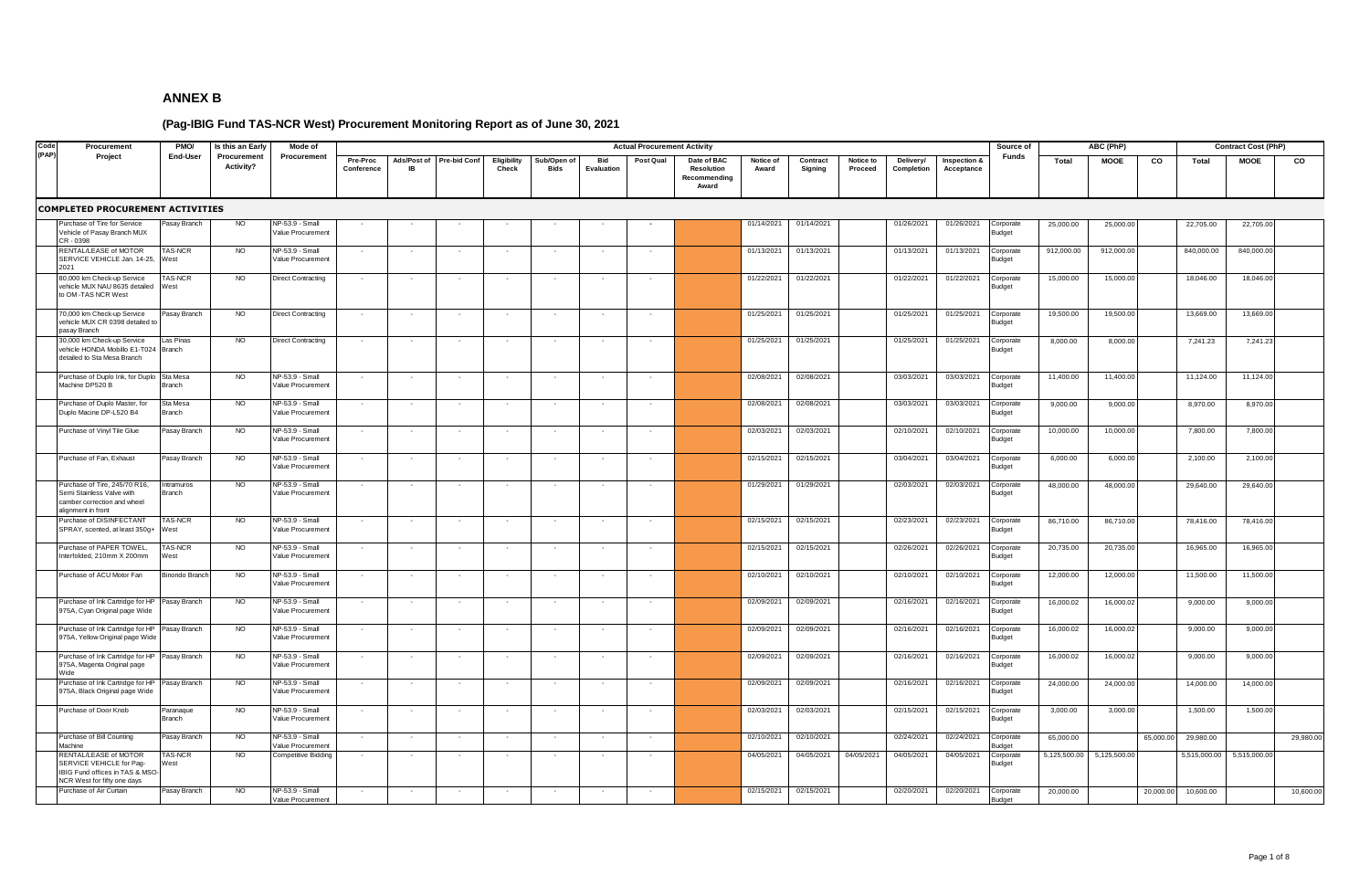| Code  | Procurement                                                                                                               | PMO/                  | Is this an Early         | Mode of                              |                        |                          |                     |                      |                            |                   | <b>Actual Procurement Activity</b> |                                                    |                    |                     |                      |                         |                            | Source of                  |              | ABC (PhP)    |           |              | <b>Contract Cost (PhP)</b> |           |
|-------|---------------------------------------------------------------------------------------------------------------------------|-----------------------|--------------------------|--------------------------------------|------------------------|--------------------------|---------------------|----------------------|----------------------------|-------------------|------------------------------------|----------------------------------------------------|--------------------|---------------------|----------------------|-------------------------|----------------------------|----------------------------|--------------|--------------|-----------|--------------|----------------------------|-----------|
| (PAP) | Project                                                                                                                   | End-User              | Procurement<br>Activity? | Procurement                          | Pre-Proc<br>Conference | Ads/Post of<br><b>IR</b> | <b>Pre-bid Conf</b> | Eligibility<br>Check | Sub/Open of<br><b>Bids</b> | Bid<br>Evaluation | Post Qual                          | Date of BAC<br>Resolution<br>Recommending<br>Award | Notice of<br>Award | Contract<br>Signing | Notice to<br>Proceed | Delivery/<br>Completion | Inspection &<br>Acceptance | Funds                      | Total        | <b>MOOE</b>  | co        | Total        | <b>MOOE</b>                | co        |
|       | <b>COMPLETED PROCUREMENT ACTIVITIES</b>                                                                                   |                       |                          |                                      |                        |                          |                     |                      |                            |                   |                                    |                                                    |                    |                     |                      |                         |                            |                            |              |              |           |              |                            |           |
|       | urchase of Tire for Service<br>/ehicle of Pasay Branch MUX<br>CR - 0398                                                   | Pasay Branch          | <b>NO</b>                | NP-53.9 - Small<br>Value Procurement |                        |                          |                     |                      |                            |                   |                                    |                                                    | 01/14/2021         | 01/14/2021          |                      | 01/26/2021              | 01/26/2021                 | Corporate<br>Budget        | 25,000.00    | 25,000.00    |           | 22,705.00    | 22,705.00                  |           |
|       | <b>RENTAL/LEASE of MOTOR</b><br>SERVICE VEHICLE Jan. 14-25,<br>2021                                                       | AS-NCR<br>West        | <b>NO</b>                | NP-53.9 - Small<br>Value Procurement |                        |                          |                     |                      |                            |                   |                                    |                                                    | 01/13/2021         | 01/13/2021          |                      | 01/13/2021              | 01/13/2021                 | Corporate<br><b>Budget</b> | 912,000.00   | 912,000.00   |           | 840,000.00   | 840,000.00                 |           |
|       | 80,000 km Check-up Service<br>vehicle MUX NAU 8635 detailed<br>o OM-TAS NCR West                                          | AS-NCR<br>West        | NO.                      | <b>Direct Contracting</b>            |                        |                          |                     |                      |                            |                   |                                    |                                                    | 01/22/2021         | 01/22/2021          |                      | 01/22/2021              | 01/22/2021                 | Corporate<br>Budget        | 15,000.00    | 15,000.00    |           | 18,046.00    | 18,046.00                  |           |
|       | 70,000 km Check-up Service<br>vehicle MUX CR 0398 detailed t<br>pasay Branch                                              | Pasay Branch          | <b>NO</b>                | <b>Direct Contracting</b>            |                        |                          |                     |                      |                            |                   |                                    |                                                    | 01/25/2021         | 01/25/2021          |                      | 01/25/2021              | 01/25/2021                 | Corporate<br>Budget        | 19,500.00    | 19,500.00    |           | 13,669.00    | 13,669.00                  |           |
|       | 30,000 km Check-up Service<br>vehicle HONDA Mobillo E1-T024<br>detailed to Sta Mesa Branch                                | Las Pinas<br>Branch   | <b>NO</b>                | <b>Direct Contracting</b>            |                        |                          |                     |                      |                            |                   |                                    |                                                    | 01/25/2021         | 01/25/2021          |                      | 01/25/2021              | 01/25/2021                 | Corporate<br>Budget        | 8,000.00     | 8,000.00     |           | 7,241.23     | 7,241.23                   |           |
|       | Purchase of Duplo Ink, for Duplo<br>Machine DP520 B                                                                       | Sta Mesa<br>Branch    | <b>NO</b>                | NP-53.9 - Small<br>Value Procurement |                        |                          |                     |                      |                            |                   |                                    |                                                    | 02/08/2021         | 02/08/2021          |                      | 03/03/2021              | 03/03/2021                 | Corporate<br>ludget        | 11,400.00    | 11,400.00    |           | 11,124.00    | 11,124.00                  |           |
|       | Purchase of Duplo Master, for<br>Ouplo Macine DP-L520 B4                                                                  | Sta Mesa<br>Branch    | <b>NO</b>                | NP-53.9 - Small<br>/alue Procurement |                        |                          |                     |                      |                            |                   |                                    |                                                    | 02/08/2021         | 02/08/2021          |                      | 03/03/2021              | 03/03/2021                 | Corporate<br><b>Budget</b> | 9,000.00     | 9,000.00     |           | 8,970.00     | 8,970.00                   |           |
|       | Purchase of Vinyl Tile Glue                                                                                               | asay Branch           | <b>NO</b>                | NP-53.9 - Small<br>/alue Procurement |                        |                          |                     |                      |                            |                   |                                    |                                                    | 02/03/2021         | 02/03/2021          |                      | 02/10/2021              | 02/10/2021                 | Corporate<br>Budget        | 10,000.00    | 10,000.00    |           | 7,800.00     | 7,800.00                   |           |
|       | Purchase of Fan, Exhaust                                                                                                  | Pasay Branch          | <b>NO</b>                | NP-53.9 - Small<br>/alue Procurement | $\sim$                 |                          |                     | $\sim$               | $\sim$                     | $\sim$            |                                    |                                                    | 02/15/2021         | 02/15/2021          |                      | 03/04/2021              | 03/04/2021                 | Corporate<br>Budget        | 6,000.00     | 6,000.00     |           | 2,100.00     | 2,100.00                   |           |
|       | Purchase of Tire, 245/70 R16,<br>Semi Stainless Valve with<br>camber correction and wheel<br>lignment in front            | Intramuros<br>Branch  | <b>NO</b>                | NP-53.9 - Small<br>Value Procurement | $\sim$                 |                          |                     | $\sim$               | $\sim$                     | $\sim$            | $\sim$                             |                                                    | 01/29/2021         | 01/29/2021          |                      | 02/03/2021              | 02/03/2021                 | Corporate<br>Budget        | 48,000.00    | 48,000.00    |           | 29,640.00    | 29,640.00                  |           |
|       | Purchase of DISINFECTANT<br>SPRAY, scented, at least 350g+                                                                | AS-NCR<br>West        | <b>NO</b>                | NP-53.9 - Small<br>Value Procurement |                        |                          |                     |                      |                            |                   |                                    |                                                    | 02/15/2021         | 02/15/2021          |                      | 02/23/2021              | 02/23/2021                 | Corporate<br>Budget        | 86,710.00    | 86,710.00    |           | 78,416.00    | 78,416.00                  |           |
|       | Purchase of PAPER TOWEL,<br>nterfolded, 210mm X 200mm                                                                     | AS-NCR<br>Vest        | <b>NO</b>                | NP-53.9 - Small<br>Value Procurement |                        |                          |                     |                      |                            |                   |                                    |                                                    | 02/15/2021         | 02/15/2021          |                      | 02/26/2021              | 02/26/2021                 | Corporate<br>Budget        | 20,735.00    | 20,735.00    |           | 16,965.00    | 16,965.00                  |           |
|       | Purchase of ACU Motor Fan                                                                                                 | <b>Binondo Branch</b> | <b>NO</b>                | NP-53.9 - Small<br>Value Procurement |                        |                          |                     |                      |                            |                   |                                    |                                                    | 02/10/2021         | 02/10/2021          |                      | 02/10/2021              | 02/10/2021                 | Corporate<br>Budget        | 12,000.00    | 12,000.00    |           | 11,500.00    | 11,500.00                  |           |
|       | Purchase of Ink Cartridge for HP<br>375A, Cyan Original page Wide                                                         | Pasay Branch          | <b>NO</b>                | NP-53.9 - Small<br>Value Procurement |                        |                          |                     |                      |                            |                   |                                    |                                                    | 02/09/2021         | 02/09/2021          |                      | 02/16/2021              | 02/16/2021                 | Corporate<br>Budget        | 16,000.02    | 16,000.02    |           | 9,000.00     | 9,000.00                   |           |
|       | Purchase of Ink Cartridge for HP<br>975A, Yellow Original page Wide                                                       | Pasay Branch          | <b>NO</b>                | NP-53.9 - Small<br>Value Procurement |                        |                          |                     |                      | $\overline{\phantom{a}}$   |                   |                                    |                                                    | 02/09/2021         | 02/09/2021          |                      | 02/16/2021              | 02/16/2021                 | Corporate<br>Budget        | 16,000.02    | 16,000.0     |           | 9,000.00     | 9,000.00                   |           |
|       | Purchase of Ink Cartridge for HP<br>375A, Magenta Original page<br>Vide                                                   | Pasay Branch          | <b>NO</b>                | NP-53.9 - Small<br>Value Procurement |                        |                          |                     |                      | $\sim$                     |                   |                                    |                                                    | 02/09/2021         | 02/09/2021          |                      | 02/16/2021              | 02/16/2021                 | Corporate<br>3udget        | 16,000.02    | 16,000.02    |           | 9,000.00     | 9,000.00                   |           |
|       | Purchase of Ink Cartridge for HP<br>975A, Black Original page Wide                                                        | Pasay Branch          | <b>NO</b>                | NP-53.9 - Small<br>Value Procurement |                        |                          |                     |                      | $\sim$                     |                   |                                    |                                                    | 02/09/2021         | 02/09/2021          |                      | 02/16/2021              | 02/16/2021                 | Corporate<br>Budget        | 24,000.00    | 24,000.00    |           | 14,000.00    | 14,000.00                  |           |
|       | Purchase of Door Knob                                                                                                     | Paranaque<br>3ranch   | <b>NO</b>                | NP-53.9 - Small<br>Value Procurement |                        |                          |                     |                      |                            |                   |                                    |                                                    | 02/03/2021         | 02/03/2021          |                      | 02/15/2021              | 02/15/2021                 | Corporate<br>ludget        | 3,000.00     | 3,000.00     |           | 1,500.00     | 1,500.00                   |           |
|       | Purchase of Bill Counting<br>Machine                                                                                      | asay Branch           | <b>NO</b>                | NP-53.9 - Small<br>/alue Procurement |                        |                          |                     |                      | $\sim$                     |                   |                                    |                                                    | 02/10/2021         | 02/10/2021          |                      | 02/24/2021              | 02/24/2021                 | Corporate<br>udaet         | 65,000.00    |              | 65,000.00 | 29,980.00    |                            | 29,980.00 |
|       | <b>RENTAL/LEASE of MOTOR</b><br>SERVICE VEHICLE for Pag-<br>IBIG Fund offices in TAS & MSC<br>NCR West for fifty one days | AS-NCR<br>/est        | N <sub>O</sub>           | Competitive Bidding                  |                        |                          |                     |                      |                            |                   |                                    |                                                    | 04/05/2021         | 04/05/2021          | 04/05/2021           | 04/05/2021              | 04/05/2021                 | orporate<br>Budget         | 5,125,500.00 | 5,125,500.00 |           | 5,515,000.00 | 5,515,000.00               |           |
|       | Purchase of Air Curtain                                                                                                   | asay Branch           | <b>NO</b>                | NP-53.9 - Small<br>Value Procurement |                        |                          |                     |                      |                            |                   |                                    |                                                    | 02/15/2021         | 02/15/2021          |                      | 02/20/2021              | 02/20/2021                 | orporate:<br>Budget        | 20,000.00    |              | 20,000.00 | 10,600.00    |                            | 10,600.00 |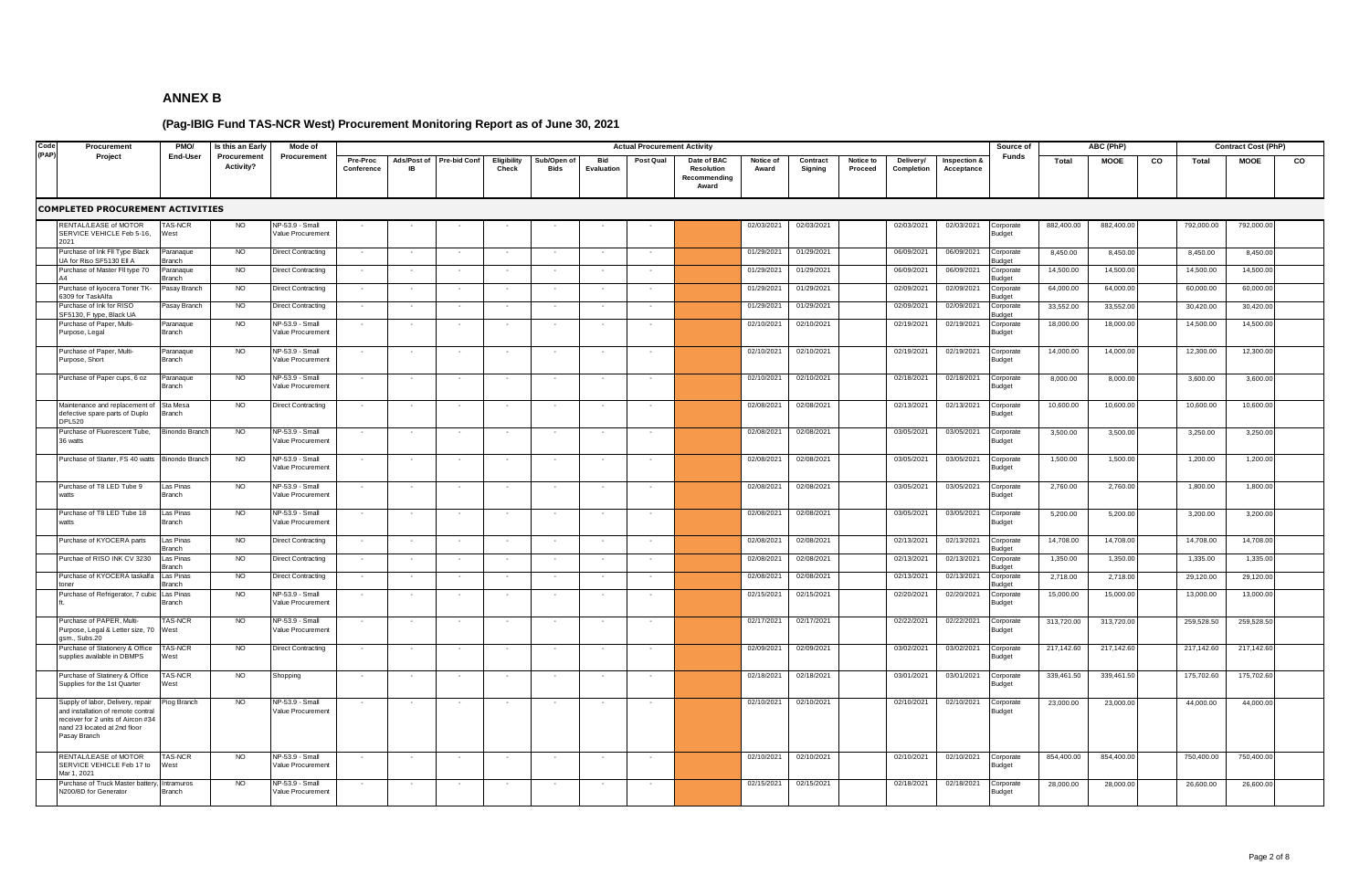| Code  | Procurement                                                                                                                                                   | <b>PMO/</b>                | Is this an Early         | Mode of                              |                          |             |                          |                          |                            |                   | <b>Actual Procurement Activity</b> |                                                           |                    |                     |                      |                         |                            | Source of                  |            | ABC (PhP)   |    |            | <b>Contract Cost (PhP)</b> |    |
|-------|---------------------------------------------------------------------------------------------------------------------------------------------------------------|----------------------------|--------------------------|--------------------------------------|--------------------------|-------------|--------------------------|--------------------------|----------------------------|-------------------|------------------------------------|-----------------------------------------------------------|--------------------|---------------------|----------------------|-------------------------|----------------------------|----------------------------|------------|-------------|----|------------|----------------------------|----|
| (PAP) | Project                                                                                                                                                       | End-User                   | Procurement<br>Activity? | Procurement                          | Pre-Proc<br>Conference   | Ads/Post of | <b>Pre-bid Conf</b>      | Eligibility<br>Check     | Sub/Open of<br><b>Bids</b> | Bid<br>Evaluation | Post Qual                          | Date of BAC<br><b>Resolution</b><br>Recommending<br>Award | Notice of<br>Award | Contract<br>Signing | Notice to<br>Proceed | Delivery/<br>Completion | Inspection &<br>Acceptance | Funds                      | Total      | <b>MOOE</b> | CO | Total      | <b>MOOE</b>                | co |
|       | <b>COMPLETED PROCUREMENT ACTIVITIES</b>                                                                                                                       |                            |                          |                                      |                          |             |                          |                          |                            |                   |                                    |                                                           |                    |                     |                      |                         |                            |                            |            |             |    |            |                            |    |
|       | RENTAL/LEASE of MOTOR<br>SERVICE VEHICLE Feb 5-16,<br>2021                                                                                                    | <b>TAS-NCR</b><br>West     | NO <sub>1</sub>          | NP-53.9 - Small<br>Value Procurement |                          |             |                          |                          |                            |                   |                                    |                                                           | 02/03/2021         | 02/03/2021          |                      | 02/03/2021              | 02/03/2021                 | Corporate<br>Budget        | 882,400.00 | 882,400.00  |    | 792,000.00 | 792,000.00                 |    |
|       | Purchase of Ink FII Type Black<br>UA for Riso SF5130 Ell A                                                                                                    | Paranaque<br>Branch        | NO.                      | <b>Direct Contracting</b>            |                          |             |                          |                          |                            |                   |                                    |                                                           | 01/29/2021         | 01/29/2021          |                      | 06/09/2021              | 06/09/2021                 | Corporate<br>tenbu         | 8,450.00   | 8,450.0     |    | 8,450.00   | 8,450.00                   |    |
|       | Purchase of Master Fll type 70                                                                                                                                | Paranaque<br><b>Branch</b> | <b>NO</b>                | <b>Direct Contracting</b>            |                          |             |                          |                          |                            |                   |                                    |                                                           | 01/29/2021         | 01/29/2021          |                      | 06/09/2021              | 06/09/2021                 | orporate<br><b>Sudaet</b>  | 14,500.00  | 14,500.0    |    | 14,500.00  | 14,500.00                  |    |
|       | Purchase of kyocera Toner TK-<br>6309 for TaskAlfa                                                                                                            | Pasay Branch               | <b>NO</b>                | <b>Direct Contracting</b>            |                          |             |                          |                          |                            |                   |                                    |                                                           | 01/29/2021         | 01/29/2021          |                      | 02/09/2021              | 02/09/2021                 | orporate<br>udaet          | 64,000.00  | 64,000.00   |    | 60,000.00  | 60,000.00                  |    |
|       | urchase of Ink for RISO<br>SF5130, F type, Black UA                                                                                                           | Pasay Branch               | <b>NO</b>                | <b>Direct Contracting</b>            |                          |             |                          |                          |                            |                   |                                    |                                                           | 01/29/2021         | 01/29/2021          |                      | 02/09/2021              | 02/09/2021                 | orporate<br>udaet          | 33,552.00  | 33,552.00   |    | 30,420.00  | 30,420.00                  |    |
|       | urchase of Paper, Multi-<br>urpose, Legal                                                                                                                     | Paranaque<br>Branch        | <b>NO</b>                | NP-53.9 - Small<br>Value Procurement |                          |             |                          |                          |                            |                   |                                    |                                                           | 02/10/2021         | 02/10/2021          |                      | 02/19/2021              | 02/19/2021                 | orporate<br><b>Sudget</b>  | 18,000.00  | 18,000.00   |    | 14,500.00  | 14,500.00                  |    |
|       | Purchase of Paper, Multi-<br>Purpose, Short                                                                                                                   | Paranaque<br>Branch        | <b>NO</b>                | NP-53.9 - Small<br>Value Procurement |                          |             |                          |                          |                            |                   |                                    |                                                           | 02/10/2021         | 02/10/2021          |                      | 02/19/2021              | 02/19/2021                 | <b>Corporate</b><br>udget  | 14,000.00  | 14,000.00   |    | 12,300.00  | 12,300.00                  |    |
|       | urchase of Paper cups, 6 oz                                                                                                                                   | Paranague<br>Branch        | <b>NO</b>                | NP-53.9 - Small<br>/alue Procurement |                          |             |                          |                          |                            |                   |                                    |                                                           | 02/10/2021         | 02/10/2021          |                      | 02/18/2021              | 02/18/2021                 | orporate<br><b>Budget</b>  | 8,000.00   | 8,000.00    |    | 3,600.00   | 3,600.00                   |    |
|       | Maintenance and replacement of<br>lefective spare parts of Duplo<br>DPL520                                                                                    | Sta Mesa<br>Branch         | <b>NO</b>                | <b>Direct Contracting</b>            |                          |             |                          |                          | $\sim$                     |                   |                                    |                                                           | 02/08/2021         | 02/08/2021          |                      | 02/13/2021              | 02/13/2021                 | Corporate<br><b>Budget</b> | 10,600.00  | 10,600.00   |    | 10,600.00  | 10,600.00                  |    |
|       | urchase of Fluorescent Tube,<br>36 watts                                                                                                                      | <b>Binondo Branc</b>       | <b>NO</b>                | NP-53.9 - Small<br>/alue Procurement |                          |             |                          |                          |                            |                   |                                    |                                                           | 02/08/2021         | 02/08/2021          |                      | 03/05/2021              | 03/05/2021                 | Corporate<br>Budget        | 3,500.00   | 3,500.00    |    | 3,250.00   | 3,250.00                   |    |
|       | Purchase of Starter, FS 40 watts                                                                                                                              | <b>Binondo Brancl</b>      | <b>NO</b>                | NP-53.9 - Small<br>Value Procurement |                          |             |                          |                          |                            |                   |                                    |                                                           | 02/08/2021         | 02/08/2021          |                      | 03/05/2021              | 03/05/2021                 | Corporate<br>Budget        | 1,500.00   | 1,500.00    |    | 1,200.00   | 1,200.00                   |    |
|       | Purchase of T8 LED Tube 9<br>vatts                                                                                                                            | Las Pinas<br>Branch        | <b>NO</b>                | NP-53.9 - Small<br>Value Procurement |                          |             |                          |                          |                            |                   |                                    |                                                           | 02/08/2021         | 02/08/2021          |                      | 03/05/2021              | 03/05/2021                 | Corporate<br>Budget        | 2,760.00   | 2,760.00    |    | 1,800.00   | 1,800.00                   |    |
|       | Purchase of T8 LED Tube 18<br>ratts                                                                                                                           | Las Pinas<br>Branch        | <b>NO</b>                | NP-53.9 - Small<br>Value Procurement |                          |             |                          |                          |                            |                   |                                    |                                                           | 02/08/2021         | 02/08/2021          |                      | 03/05/2021              | 03/05/2021                 | Corporate<br><b>Budget</b> | 5,200.00   | 5,200.00    |    | 3,200.00   | 3,200.00                   |    |
|       | urchase of KYOCERA parts                                                                                                                                      | Las Pinas<br><b>Branch</b> | <b>NO</b>                | <b>Direct Contracting</b>            |                          |             |                          |                          |                            |                   |                                    |                                                           | 02/08/2021         | 02/08/2021          |                      | 02/13/2021              | 02/13/2021                 | Corporate<br>udaet         | 14,708.00  | 14,708.00   |    | 14,708.00  | 14,708.00                  |    |
|       | urchae of RISO INK CV 3230                                                                                                                                    | Las Pinas<br>Branch        | <b>NO</b>                | <b>Direct Contracting</b>            | $\overline{\phantom{a}}$ |             |                          |                          | $\overline{\phantom{a}}$   |                   |                                    |                                                           | 02/08/2021         | 02/08/2021          |                      | 02/13/2021              | 02/13/2021                 | Corporate<br>udget         | 1,350.00   | 1,350.00    |    | 1,335.00   | 1,335.00                   |    |
|       | urchase of KYOCERA taskalfa                                                                                                                                   | Las Pinas<br>Branch        | NO.                      | <b>Direct Contracting</b>            | $\sim$                   |             |                          |                          | $\overline{\phantom{a}}$   |                   |                                    |                                                           | 02/08/2021         | 02/08/2021          |                      | 02/13/2021              | 02/13/2021                 | orporate<br>udaet          | 2,718.00   | 2,718.00    |    | 29,120.00  | 29,120.00                  |    |
|       | urchase of Refrigerator, 7 cubic                                                                                                                              | Las Pinas<br>Branch        | <b>NO</b>                | NP-53.9 - Small<br>Value Procurement |                          |             |                          |                          |                            |                   |                                    |                                                           | 02/15/2021         | 02/15/2021          |                      | 02/20/2021              | 02/20/2021                 | Corporate<br>Budget        | 15,000.00  | 15,000.00   |    | 13,000.00  | 13,000.00                  |    |
|       | urchase of PAPER, Multi-<br>urpose, Legal & Letter size, 70<br>asm., Subs.20                                                                                  | <b>TAS-NCR</b><br>West     | NO                       | NP-53.9 - Small<br>Value Procurement |                          |             |                          |                          |                            |                   |                                    |                                                           | 02/17/2021         | 02/17/2021          |                      | 02/22/2021              | 02/22/2021                 | Corporate<br>Budget        | 313,720.00 | 313,720.0   |    | 259,528.50 | 259,528.5                  |    |
|       | Purchase of Stationery & Office<br>supplies available in DBMPS                                                                                                | TAS-NCR<br>West            | NO.                      | <b>Direct Contracting</b>            |                          |             |                          |                          | $\overline{\phantom{a}}$   |                   |                                    |                                                           | 02/09/2021         | 02/09/2021          |                      | 03/02/2021              | 03/02/2021                 | Corporate<br>Budget        | 217,142.60 | 217,142.60  |    | 217,142.60 | 217,142.60                 |    |
|       | Purchase of Statinery & Office<br>Supplies for the 1st Quarter                                                                                                | TAS-NCR<br>West            | <b>NO</b>                | Shopping                             |                          |             |                          |                          |                            |                   |                                    |                                                           | 02/18/2021         | 02/18/2021          |                      | 03/01/2021              | 03/01/2021                 | Corporate<br>udget         | 339,461.50 | 339,461.50  |    | 175,702.60 | 175,702.60                 |    |
|       | Supply of labor, Delivery, repair<br>and installation of remote contral<br>receiver for 2 units of Aircon #34<br>nand 23 located at 2nd floor<br>Pasay Branch | Piog Branch                | NO.                      | NP-53.9 - Small<br>Value Procurement |                          |             |                          |                          |                            |                   |                                    |                                                           | 02/10/2021         | 02/10/2021          |                      | 02/10/2021              | 02/10/2021                 | Corporate<br>Budget        | 23,000.00  | 23,000.0    |    | 44,000.00  | 44,000.00                  |    |
|       | RENTAL/LEASE of MOTOR<br>SERVICE VEHICLE Feb 17 to<br>Mar 1, 2021                                                                                             | <b>TAS-NCR</b><br>West     | <b>NO</b>                | NP-53.9 - Small<br>Value Procurement |                          |             | $\overline{\phantom{a}}$ | $\overline{\phantom{a}}$ | $\sim$                     |                   | $\overline{\phantom{a}}$           |                                                           | 02/10/2021         | 02/10/2021          |                      | 02/10/2021              | 02/10/2021                 | Corporate<br>udget         | 854,400.00 | 854,400.00  |    | 750,400.00 | 750,400.00                 |    |
|       | urchase of Truck Master battery,<br>N200/8D for Generator                                                                                                     | Intramuros<br>Branch       | <b>NO</b>                | NP-53.9 - Small<br>Value Procurement |                          |             |                          |                          |                            |                   |                                    |                                                           | 02/15/2021         | 02/15/2021          |                      | 02/18/2021              | 02/18/2021                 | <b>Corporate</b><br>Budget | 28,000.00  | 28,000.00   |    | 26,600.00  | 26,600.00                  |    |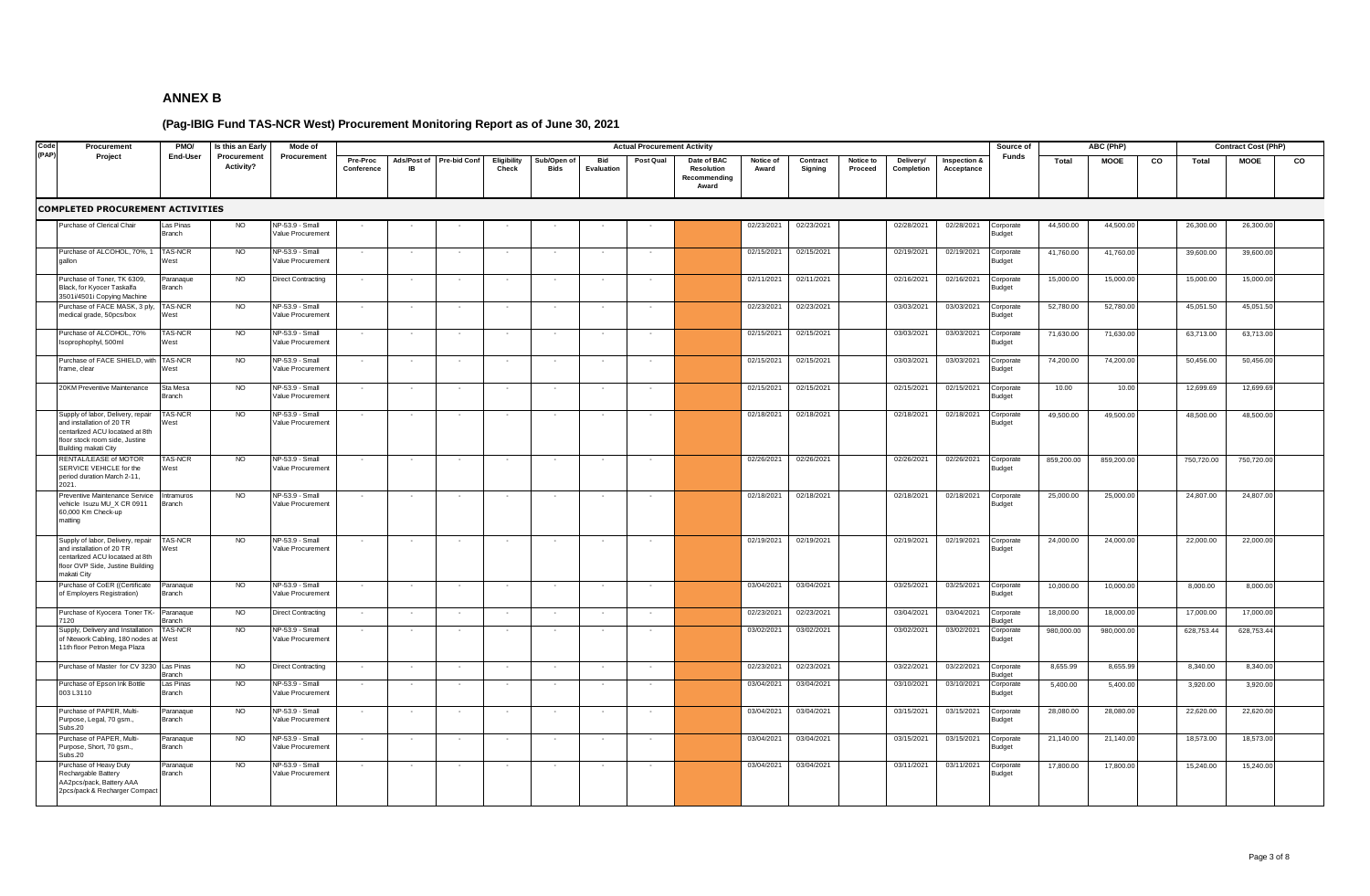| Code  | Procurement                                                                                                                                                 | PMO/                       | Is this an Early         | Mode of                              |                          |                          |              |                             |                            |                          | <b>Actual Procurement Activity</b> |                                                    |                    |                     |                      |                         |                            | Source of                  |            | ABC (PhP)   |    |            | <b>Contract Cost (PhP)</b> |    |
|-------|-------------------------------------------------------------------------------------------------------------------------------------------------------------|----------------------------|--------------------------|--------------------------------------|--------------------------|--------------------------|--------------|-----------------------------|----------------------------|--------------------------|------------------------------------|----------------------------------------------------|--------------------|---------------------|----------------------|-------------------------|----------------------------|----------------------------|------------|-------------|----|------------|----------------------------|----|
| (PAP) | Project                                                                                                                                                     | End-User                   | Procurement<br>Activity? | Procurement                          | Pre-Proc<br>Conference   | Ads/Post of<br><b>IB</b> | Pre-bid Conf | <b>Eligibility</b><br>Check | Sub/Open of<br><b>Bids</b> | <b>Bid</b><br>Evaluation | Post Qual                          | Date of BAC<br>Resolution<br>Recommending<br>Award | Notice of<br>Award | Contract<br>Signing | Notice to<br>Proceed | Delivery/<br>Completion | Inspection &<br>Acceptance | <b>Funds</b>               | Total      | <b>MOOE</b> | CO | Total      | <b>MOOE</b>                | co |
|       | COMPLETED PROCUREMENT ACTIVITIES                                                                                                                            |                            |                          |                                      |                          |                          |              |                             |                            |                          |                                    |                                                    |                    |                     |                      |                         |                            |                            |            |             |    |            |                            |    |
|       | Purchase of Clerical Chair                                                                                                                                  | Las Pinas<br><b>Branch</b> | <b>NO</b>                | NP-53.9 - Small<br>Value Procurement |                          |                          |              |                             |                            |                          |                                    |                                                    | 02/23/2021         | 02/23/2021          |                      | 02/28/2021              | 02/28/2021                 | Corporate<br><b>Budget</b> | 44,500.00  | 44,500.00   |    | 26,300.00  | 26,300.00                  |    |
|       | Purchase of ALCOHOL, 70%, 1<br>gallon                                                                                                                       | TAS-NCR<br>Nest            | <b>NO</b>                | NP-53.9 - Small<br>Value Procurement |                          |                          |              |                             |                            |                          |                                    |                                                    | 02/15/2021         | 02/15/2021          |                      | 02/19/2021              | 02/19/2021                 | Corporate<br>udget         | 41,760.00  | 41,760.00   |    | 39,600.00  | 39,600.00                  |    |
|       | Purchase of Toner, TK 6309,<br>Black, for Kyocer Taskalfa<br>3501i/4501i Copying Machine                                                                    | Paranaque<br><b>Iranch</b> | <b>NO</b>                | <b>Direct Contracting</b>            |                          |                          |              |                             |                            |                          |                                    |                                                    | 02/11/2021         | 02/11/2021          |                      | 02/16/2021              | 02/16/2021                 | Corporate<br>udget         | 15,000.00  | 15,000.00   |    | 15,000.00  | 15,000.00                  |    |
|       | Purchase of FACE MASK, 3 ply,<br>nedical grade, 50pcs/box                                                                                                   | TAS-NCR<br>West            | N <sub>O</sub>           | NP-53.9 - Small<br>Value Procurement | $\sim$                   |                          |              |                             |                            |                          |                                    |                                                    | 02/23/2021         | 02/23/2021          |                      | 03/03/2021              | 03/03/2021                 | Corporate<br>udget         | 52,780.00  | 52,780.00   |    | 45,051.50  | 45,051.50                  |    |
|       | Purchase of ALCOHOL, 70%<br>soprophophyl, 500ml                                                                                                             | <b>TAS-NCR</b><br>Nest     | <b>NO</b>                | NP-53.9 - Small<br>Value Procurement | $\sim$                   |                          |              |                             |                            |                          |                                    |                                                    | 02/15/2021         | 02/15/2021          |                      | 03/03/2021              | 03/03/2021                 | orporate;<br>udget         | 71,630.00  | 71,630.00   |    | 63,713.00  | 63,713.00                  |    |
|       | Purchase of FACE SHIELD, with<br>rame, clear                                                                                                                | <b>TAS-NCR</b><br>West     | NO                       | NP-53.9 - Small<br>Value Procurement | $\sim$                   |                          |              |                             |                            |                          |                                    |                                                    | 02/15/2021         | 02/15/2021          |                      | 03/03/2021              | 03/03/2021                 | Corporate<br><b>Budget</b> | 74,200.00  | 74,200.00   |    | 50,456.00  | 50,456.00                  |    |
|       | 20KM Preventive Maintenance                                                                                                                                 | Sta Mesa<br><b>Branch</b>  | <b>NO</b>                | NP-53.9 - Small<br>Value Procurement | $\sim$                   |                          |              |                             |                            |                          |                                    |                                                    | 02/15/2021         | 02/15/2021          |                      | 02/15/2021              | 02/15/2021                 | Corporate<br><b>Budget</b> | 10.00      | 10.00       |    | 12,699.69  | 12,699.69                  |    |
|       | Supply of labor, Delivery, repair<br>and installation of 20 TR<br>centarlized ACU locataed at 8th<br>floor stock room side, Justine<br>Building makati City | TAS-NCR<br>West            | <b>NO</b>                | NP-53.9 - Small<br>Value Procurement |                          |                          |              |                             |                            |                          |                                    |                                                    | 02/18/2021         | 02/18/2021          |                      | 02/18/2021              | 02/18/2021                 | Corporate<br>Budget        | 49,500.00  | 49,500.00   |    | 48,500.00  | 48,500.00                  |    |
|       | RENTAL/LEASE of MOTOR<br>SERVICE VEHICLE for the<br>period duration March 2-11,<br>2021.                                                                    | AS-NCR<br>West             | <b>NO</b>                | NP-53.9 - Small<br>Value Procurement |                          |                          |              |                             |                            |                          |                                    |                                                    | 02/26/2021         | 02/26/2021          |                      | 02/26/2021              | 02/26/2021                 | Corporate<br>Budget        | 859,200.00 | 859,200.00  |    | 750,720.00 | 750,720.00                 |    |
|       | Preventive Maintenance Service<br>vehicle Isuzu MU_X CR 0911<br>60,000 Km Check-up<br>matting                                                               | ntramuros<br>Branch        | <b>NO</b>                | NP-53.9 - Small<br>Value Procurement |                          |                          |              |                             |                            |                          |                                    |                                                    | 02/18/2021         | 02/18/2021          |                      | 02/18/2021              | 02/18/2021                 | Corporate<br>Budget        | 25,000.00  | 25,000.00   |    | 24,807.00  | 24,807.00                  |    |
|       | Supply of labor, Delivery, repair<br>and installation of 20 TR<br>centarlized ACU locataed at 8th<br>floor OVP Side, Justine Building<br>makati City        | TAS-NCR<br>West            | <b>NO</b>                | NP-53.9 - Small<br>Value Procurement | $\sim$                   |                          |              |                             |                            | $\sim$                   |                                    |                                                    | 02/19/2021         | 02/19/2021          |                      | 02/19/2021              | 02/19/2021                 | Corporate<br>Budget        | 24,000.00  | 24,000.00   |    | 22,000.00  | 22,000.00                  |    |
|       | Purchase of CoER ((Certificate<br>of Employers Registration)                                                                                                | Paranaque<br>Branch        | <b>NO</b>                | NP-53.9 - Small<br>Value Procurement | $\overline{\phantom{a}}$ |                          |              |                             |                            |                          |                                    |                                                    | 03/04/2021         | 03/04/2021          |                      | 03/25/2021              | 03/25/2021                 | Corporate<br>Budget        | 10,000.00  | 10,000.00   |    | 8,000.00   | 8,000.00                   |    |
|       | Purchase of Kyocera Toner TK-<br>120                                                                                                                        | Paranaque<br><b>Branch</b> | NO                       | <b>Direct Contracting</b>            | $\sim$                   |                          |              |                             |                            |                          |                                    |                                                    | 02/23/2021         | 02/23/2021          |                      | 03/04/2021              | 03/04/2021                 | Corporate<br>udget         | 18,000.00  | 18,000.00   |    | 17,000.00  | 17,000.00                  |    |
|       | Supply, Delivery and Installation<br>of Ntework Cabling, 180 nodes at West<br>11th floor Petron Mega Plaza                                                  | <b>TAS-NCR</b>             | <b>NO</b>                | NP-53.9 - Small<br>Value Procurement |                          |                          |              |                             |                            |                          |                                    |                                                    | 03/02/2021         | 03/02/2021          |                      | 03/02/2021              | 03/02/2021                 | Corporate<br><b>Budget</b> | 980,000.00 | 980,000.00  |    | 628,753.44 | 628,753.44                 |    |
|       | Purchase of Master for CV 3230 Las Pinas                                                                                                                    | <b>Branch</b>              | NO                       | <b>Direct Contracting</b>            | $\sim$                   |                          |              |                             | $\sim$                     |                          |                                    |                                                    | 02/23/2021         | 02/23/2021          |                      | 03/22/2021              | 03/22/2021                 | Corporate<br>udget         | 8,655.99   | 8,655.99    |    | 8,340.00   | 8,340.00                   |    |
|       | Purchase of Epson Ink Bottle<br>003 L3110                                                                                                                   | Las Pinas<br>Branch        | <b>NO</b>                | NP-53.9 - Small<br>Value Procurement | $\sim$                   |                          |              |                             | $\sim$                     |                          |                                    |                                                    | 03/04/2021         | 03/04/2021          |                      | 03/10/2021              | 03/10/2021                 | Corporate<br><b>Budget</b> | 5,400.00   | 5,400.00    |    | 3,920.00   | 3,920.00                   |    |
|       | Purchase of PAPER, Multi-<br>Purpose, Legal, 70 gsm.,<br>Subs.20                                                                                            | Paranaque<br>Branch        | NO                       | NP-53.9 - Small<br>Value Procurement |                          |                          |              |                             |                            |                          |                                    |                                                    | 03/04/2021         | 03/04/2021          |                      | 03/15/2021              | 03/15/2021                 | Corporate<br>Budget        | 28,080.00  | 28,080.00   |    | 22,620.00  | 22,620.00                  |    |
|       | Purchase of PAPER, Multi-<br>Purpose, Short, 70 gsm.,<br>Subs.20                                                                                            | Paranaque<br>Branch        | <b>NO</b>                | NP-53.9 - Small<br>Value Procurement |                          |                          |              |                             |                            |                          |                                    |                                                    | 03/04/2021         | 03/04/2021          |                      | 03/15/2021              | 03/15/2021                 | Corporate<br>3udget        | 21,140.00  | 21,140.00   |    | 18,573.00  | 18,573.00                  |    |
|       | Purchase of Heavy Duty<br>Rechargable Battery<br>AA2pcs/pack, Battery AAA<br>2pcs/pack & Recharger Compact                                                  | aranaque<br>Branch         | <b>NO</b>                | NP-53.9 - Small<br>Value Procurement |                          |                          |              |                             |                            |                          |                                    |                                                    | 03/04/2021         | 03/04/2021          |                      | 03/11/2021              | 03/11/2021                 | orporate<br>3udget         | 17,800.00  | 17,800.00   |    | 15,240.00  | 15,240.00                  |    |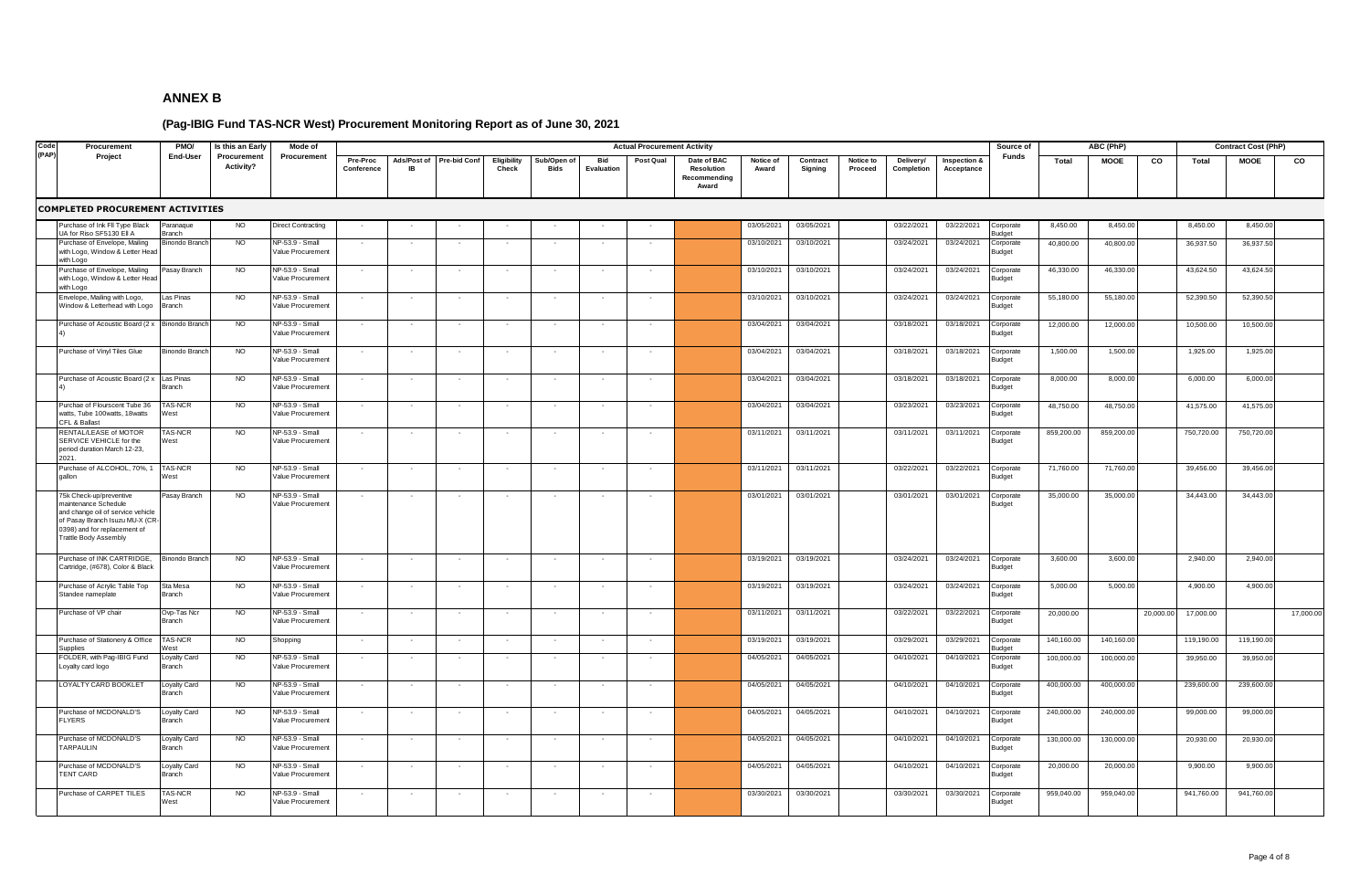| Code<br>(PAP) | Procurement                                                                                                                                                                     | PMO/                         | Is this an Early         | Mode of                              |                          |                   |                     |                      |                            |                          | <b>Actual Procurement Activity</b> |                                                    |                    |                     |                      |                         |                            | Source of                  |            | ABC (PhP)   |           |            | <b>Contract Cost (PhP)</b> |           |
|---------------|---------------------------------------------------------------------------------------------------------------------------------------------------------------------------------|------------------------------|--------------------------|--------------------------------------|--------------------------|-------------------|---------------------|----------------------|----------------------------|--------------------------|------------------------------------|----------------------------------------------------|--------------------|---------------------|----------------------|-------------------------|----------------------------|----------------------------|------------|-------------|-----------|------------|----------------------------|-----------|
|               | Project                                                                                                                                                                         | End-User                     | Procurement<br>Activity? | Procurement                          | Pre-Proc<br>Conference   | Ads/Post of<br>IB | <b>Pre-bid Conf</b> | Eligibility<br>Check | Sub/Open of<br><b>Bids</b> | Bid<br>Evaluation        | Post Qual                          | Date of BAC<br>Resolution<br>Recommending<br>Award | Notice of<br>Award | Contract<br>Signing | Notice to<br>Proceed | Delivery/<br>Completion | Inspection &<br>Acceptance | Funds                      | Total      | <b>MOOE</b> | CO        | Total      | <b>MOOE</b>                | co        |
|               | <b>COMPLETED PROCUREMENT ACTIVITIES</b>                                                                                                                                         |                              |                          |                                      |                          |                   |                     |                      |                            |                          |                                    |                                                    |                    |                     |                      |                         |                            |                            |            |             |           |            |                            |           |
|               | Purchase of Ink FII Type Black<br>UA for Riso SF5130 Ell A                                                                                                                      | Paranaque<br>Branch          | <b>NO</b>                | <b>Direct Contracting</b>            |                          |                   |                     |                      |                            |                          |                                    |                                                    | 03/05/2021         | 03/05/2021          |                      | 03/22/2021              | 03/22/2021                 | Corporate<br>udget         | 8,450.00   | 8,450.00    |           | 8,450.00   | 8,450.00                   |           |
|               | Purchase of Envelope, Mailing<br>with Logo, Window & Letter Head<br>with Logo                                                                                                   | <b>Binondo Brancl</b>        | <b>NO</b>                | NP-53.9 - Small<br>Value Procurement |                          |                   |                     |                      |                            |                          |                                    |                                                    | 03/10/2021         | 03/10/2021          |                      | 03/24/2021              | 03/24/2021                 | Corporate<br><b>Budget</b> | 40,800.00  | 40,800.00   |           | 36,937.50  | 36,937.50                  |           |
|               | Purchase of Envelope, Mailing<br>with Logo, Window & Letter Head<br>with Logo                                                                                                   | asay Branch                  | <b>NO</b>                | NP-53.9 - Small<br>Value Procurement |                          |                   |                     |                      |                            |                          |                                    |                                                    | 03/10/202          | 03/10/2021          |                      | 03/24/2021              | 03/24/2021                 | Corporate<br>Budget        | 46,330.00  | 46,330.00   |           | 43,624.50  | 43,624.50                  |           |
|               | Envelope, Mailing with Logo,<br>Window & Letterhead with Logo                                                                                                                   | as Pinas<br>Branch           | <b>NO</b>                | NP-53.9 - Small<br>Value Procurement | $\sim$                   |                   |                     |                      |                            |                          |                                    |                                                    | 03/10/2021         | 03/10/2021          |                      | 03/24/2021              | 03/24/2021                 | Corporate<br>Budget        | 55,180.00  | 55,180.00   |           | 52,390.50  | 52,390.50                  |           |
|               | Purchase of Acoustic Board (2)                                                                                                                                                  | <b>Binondo Brand</b>         | <b>NO</b>                | NP-53.9 - Small<br>Value Procurement | $\sim$                   |                   |                     |                      | $\sim$                     |                          |                                    |                                                    | 03/04/2021         | 03/04/2021          |                      | 03/18/2021              | 03/18/2021                 | Corporate<br><b>Budget</b> | 12,000.00  | 12,000.00   |           | 10,500.00  | 10,500.00                  |           |
|               | Purchase of Vinyl Tiles Glue                                                                                                                                                    | <b>Binondo Brancl</b>        | <b>NO</b>                | NP-53.9 - Small<br>Value Procurement | $\sim$                   |                   |                     |                      | $\sim$                     | $\sim$                   |                                    |                                                    | 03/04/2021         | 03/04/2021          |                      | 03/18/2021              | 03/18/2021                 | Corporate<br><b>Budget</b> | 1,500.00   | 1,500.00    |           | 1,925.00   | 1,925.00                   |           |
|               | Purchase of Acoustic Board (2 x                                                                                                                                                 | Las Pinas<br><b>Branch</b>   | <b>NO</b>                | NP-53.9 - Small<br>Value Procurement | $\sim$                   |                   |                     |                      | $\sim$                     |                          |                                    |                                                    | 03/04/2021         | 03/04/2021          |                      | 03/18/2021              | 03/18/2021                 | Corporate<br><b>Budget</b> | 8,000.00   | 8,000.00    |           | 6,000.00   | 6,000.00                   |           |
|               | Purchae of Flourscent Tube 36<br>watts, Tube 100watts, 18watts<br>CFL & Ballast                                                                                                 | AS-NCR<br>West               | NO                       | NP-53.9 - Small<br>Value Procurement | $\sim$                   |                   |                     | $\sim$               | $\sim$                     | $\sim$                   | $\sim$                             |                                                    | 03/04/2021         | 03/04/2021          |                      | 03/23/2021              | 03/23/2021                 | Corporate<br>Budget        | 48,750.00  | 48,750.00   |           | 41,575.00  | 41,575.00                  |           |
|               | RENTAL/LEASE of MOTOR<br>SERVICE VEHICLE for the<br>period duration March 12-23,<br>2021                                                                                        | AS-NCR<br>Nest               | <b>NO</b>                | NP-53.9 - Small<br>Value Procurement | $\sim$                   |                   |                     |                      | $\sim$                     | $\overline{\phantom{a}}$ | $\sim$                             |                                                    | 03/11/2021         | 03/11/2021          |                      | 03/11/2021              | 03/11/2021                 | Corporate<br><b>Budget</b> | 859,200.00 | 859,200.00  |           | 750,720.00 | 750,720.00                 |           |
|               | Purchase of ALCOHOL, 70%, 1<br>gallon                                                                                                                                           | <b>TAS-NCR</b><br>Nest       | <b>NO</b>                | NP-53.9 - Small<br>Value Procurement |                          |                   |                     |                      |                            |                          |                                    |                                                    | 03/11/2021         | 03/11/2021          |                      | 03/22/2021              | 03/22/2021                 | orporate<br>udget          | 71,760.00  | 71,760.00   |           | 39,456.00  | 39,456.00                  |           |
|               | 75k Check-up/preventive<br>naintenance Schedule<br>and change oil of service vehicle<br>of Pasay Branch Isuzu MU-X (CR<br>0398) and for replacement of<br>Trattle Body Assembly | Pasay Branch                 | <b>NO</b>                | NP-53.9 - Small<br>Value Procurement |                          |                   |                     |                      |                            |                          |                                    |                                                    | 03/01/2021         | 03/01/2021          |                      | 03/01/2021              | 03/01/2021                 | Corporate<br><b>Budget</b> | 35,000.00  | 35,000.00   |           | 34,443.00  | 34,443.00                  |           |
|               | Purchase of INK CARTRIDGE,<br>Cartridge, (#678), Color & Black                                                                                                                  | <b>Sinondo Brancl</b>        | <b>NO</b>                | NP-53.9 - Small<br>Value Procurement | $\overline{\phantom{a}}$ |                   |                     |                      | $\sim$                     |                          |                                    |                                                    | 03/19/2021         | 03/19/2021          |                      | 03/24/2021              | 03/24/2021                 | Corporate<br>udget         | 3,600.00   | 3,600.00    |           | 2,940.00   | 2,940.00                   |           |
|               | Purchase of Acrylic Table Top<br>Standee nameplate                                                                                                                              | Sta Mesa<br>Branch           | <b>NO</b>                | NP-53.9 - Small<br>Value Procurement |                          |                   |                     |                      |                            |                          |                                    |                                                    | 03/19/2021         | 03/19/2021          |                      | 03/24/2021              | 03/24/2021                 | Corporate<br>3udget        | 5,000.00   | 5,000.00    |           | 4,900.00   | 4,900.00                   |           |
|               | Purchase of VP chair                                                                                                                                                            | Ovp-Tas Ncr<br><b>Branch</b> | <b>NO</b>                | NP-53.9 - Small<br>Value Procurement |                          |                   |                     |                      |                            |                          |                                    |                                                    | 03/11/2021         | 03/11/2021          |                      | 03/22/2021              | 03/22/2021                 | orporate<br>Budget         | 20,000.00  |             | 20,000.00 | 17,000.00  |                            | 17,000.00 |
|               | Purchase of Stationery & Office<br>Supplies                                                                                                                                     | TAS-NCR<br>West              | <b>NO</b>                | Shopping                             | $\sim$                   |                   |                     |                      | $\sim$                     |                          |                                    |                                                    | 03/19/2021         | 03/19/2021          |                      | 03/29/2021              | 03/29/2021                 | Corporate<br>udaet         | 140,160.00 | 140,160.00  |           | 119,190.00 | 119,190.00                 |           |
|               | FOLDER, with Pag-IBIG Fund<br>Loyalty card logo                                                                                                                                 | Loyalty Card<br>Branch       | <b>NO</b>                | NP-53.9 - Small<br>Value Procurement | $\sim$                   |                   |                     |                      | $\sim$                     |                          |                                    |                                                    | 04/05/2021         | 04/05/2021          |                      | 04/10/2021              | 04/10/2021                 | orporate<br><b>Budget</b>  | 100,000.00 | 100,000.00  |           | 39,950.00  | 39,950.0                   |           |
|               | LOYALTY CARD BOOKLET                                                                                                                                                            | Loyalty Card<br>Branch       | NO                       | NP-53.9 - Small<br>Value Procurement |                          |                   |                     |                      |                            |                          |                                    |                                                    | 04/05/2021         | 04/05/2021          |                      | 04/10/2021              | 04/10/2021                 | Corporate<br><b>Budget</b> | 400,000.00 | 400,000.00  |           | 239,600.00 | 239,600.00                 |           |
|               | Purchase of MCDONALD'S<br><b>FLYERS</b>                                                                                                                                         | Loyalty Card<br>Branch       | <b>NO</b>                | NP-53.9 - Small<br>Value Procurement |                          |                   |                     |                      |                            |                          |                                    |                                                    | 04/05/2021         | 04/05/2021          |                      | 04/10/2021              | 04/10/2021                 | Corporate<br><b>Budget</b> | 240,000.00 | 240,000.00  |           | 99,000.00  | 99,000.0                   |           |
|               | Purchase of MCDONALD'S<br>TARPAULIN                                                                                                                                             | Loyalty Card<br>Branch       | <b>NO</b>                | NP-53.9 - Small<br>Value Procurement | $\sim$                   |                   |                     |                      |                            |                          |                                    |                                                    | 04/05/2021         | 04/05/2021          |                      | 04/10/2021              | 04/10/2021                 | Corporate<br><b>Budget</b> | 130,000.00 | 130,000.00  |           | 20,930.00  | 20,930.0                   |           |
|               | urchase of MCDONALD'S<br><b>TENT CARD</b>                                                                                                                                       | oyalty Card<br>Branch        | <b>NO</b>                | NP-53.9 - Small<br>Value Procurement |                          |                   |                     |                      |                            |                          |                                    |                                                    | 04/05/2021         | 04/05/2021          |                      | 04/10/2021              | 04/10/2021                 | orporate<br><b>Budget</b>  | 20,000.00  | 20,000.00   |           | 9,900.00   | 9,900.00                   |           |
|               | Purchase of CARPET TILES                                                                                                                                                        | <b>TAS-NCR</b><br>West       | <b>NO</b>                | NP-53.9 - Small<br>Value Procurement | $\sim$                   |                   |                     |                      | $\sim$                     |                          |                                    |                                                    | 03/30/2021         | 03/30/2021          |                      | 03/30/2021              | 03/30/2021                 | Corporate<br><b>Budget</b> | 959,040.00 | 959,040.00  |           | 941,760.00 | 941,760.00                 |           |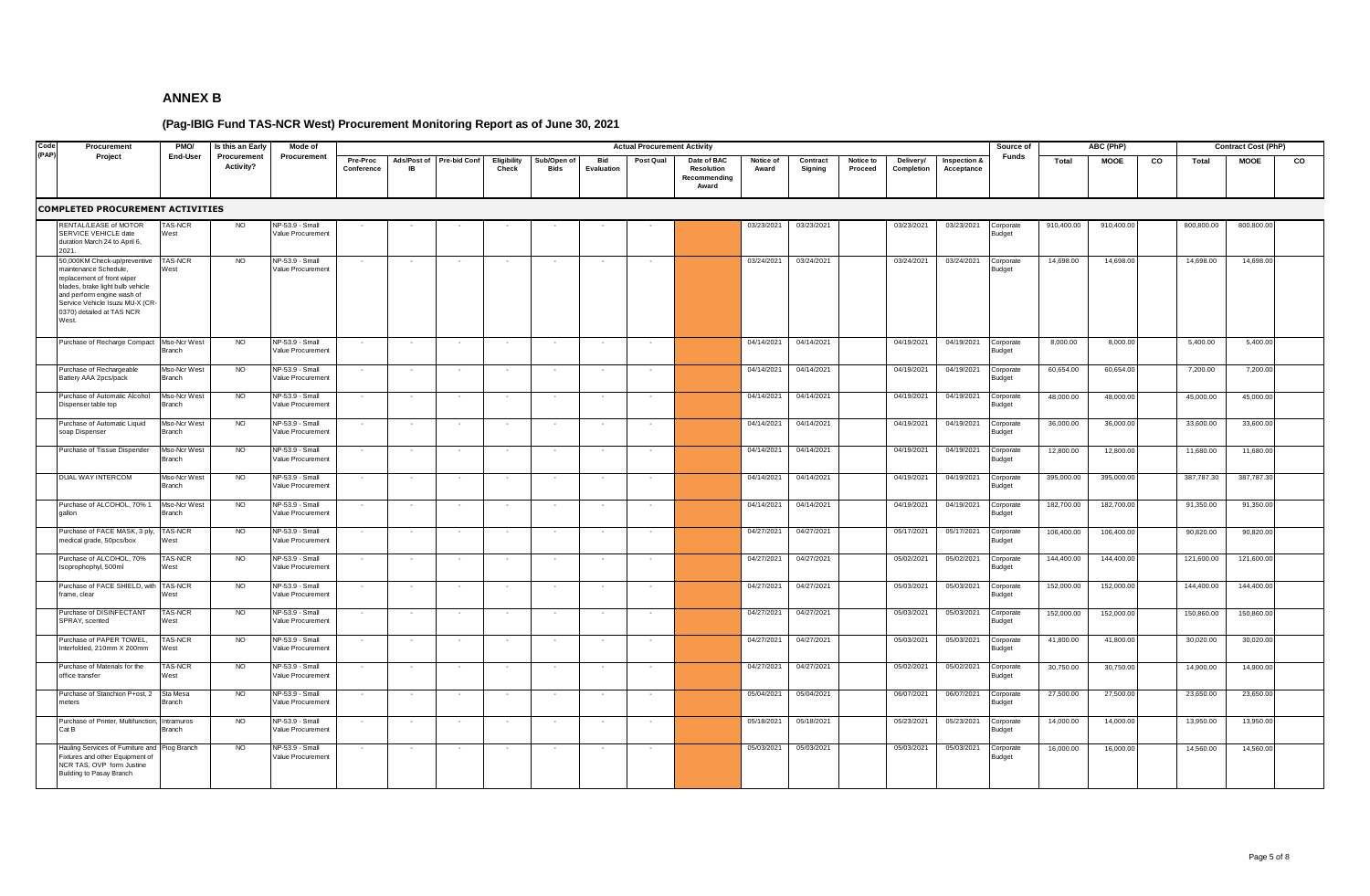| Code<br>Procurement                                                                                                                                                                                                           | PMO/                          | Is this an Early         | Mode of                              |                        |                          |                     |                      |                            |                          | <b>Actual Procurement Activity</b> |                                                           |                    |                     |                      |                         |                            | Source of                  |            | ABC (PhP)   |    |            | <b>Contract Cost (PhP)</b> |    |
|-------------------------------------------------------------------------------------------------------------------------------------------------------------------------------------------------------------------------------|-------------------------------|--------------------------|--------------------------------------|------------------------|--------------------------|---------------------|----------------------|----------------------------|--------------------------|------------------------------------|-----------------------------------------------------------|--------------------|---------------------|----------------------|-------------------------|----------------------------|----------------------------|------------|-------------|----|------------|----------------------------|----|
| (PAP)<br>Project                                                                                                                                                                                                              | End-User                      | Procurement<br>Activity? | Procurement                          | Pre-Proc<br>Conference | Ads/Post of<br><b>IR</b> | <b>Pre-bid Conf</b> | Eligibility<br>Check | Sub/Open of<br><b>Bids</b> | Bid<br>Evaluation        | Post Qual                          | Date of BAC<br><b>Resolution</b><br>Recommending<br>Award | Notice of<br>Award | Contract<br>Signing | Notice to<br>Proceed | Delivery/<br>Completion | Inspection &<br>Acceptance | Funds                      | Total      | <b>MOOE</b> | co | Total      | <b>MOOE</b>                | co |
| <b>COMPLETED PROCUREMENT ACTIVITIES</b>                                                                                                                                                                                       |                               |                          |                                      |                        |                          |                     |                      |                            |                          |                                    |                                                           |                    |                     |                      |                         |                            |                            |            |             |    |            |                            |    |
| RENTAL/LEASE of MOTOR<br>SERVICE VEHICLE date<br>duration March 24 to April 6,<br>2021.                                                                                                                                       | AS-NCR<br>West                | <b>NO</b>                | NP-53.9 - Small<br>Value Procurement |                        |                          |                     |                      |                            |                          |                                    |                                                           | 03/23/2021         | 03/23/2021          |                      | 03/23/2021              | 03/23/2021                 | Corporate<br>Budget        | 910,400.00 | 910,400.00  |    | 800,800.00 | 800,800.00                 |    |
| 50,000KM Check-up/preventive<br>maintenance Schedule,<br>replacement of front wiper<br>blades, brake light bulb vehicle<br>and perform engine wash of<br>Service Vehicle Isuzu MU-X (CF<br>0370) detailed at TAS NCR<br>West. | AS-NCR<br>West                | N <sub>O</sub>           | NP-53.9 - Small<br>Value Procurement |                        |                          |                     |                      |                            |                          |                                    |                                                           | 03/24/2021         | 03/24/2021          |                      | 03/24/2021              | 03/24/2021                 | Corporate<br>Budget        | 14,698.00  | 14,698.00   |    | 14,698.00  | 14,698.00                  |    |
| Purchase of Recharge Compact                                                                                                                                                                                                  | Mso-Ncr West<br>Branch        | <b>NO</b>                | NP-53.9 - Small<br>Value Procurement | $\sim$                 |                          |                     |                      | $\sim$                     | $\sim$                   | $\overline{\phantom{a}}$           |                                                           | 04/14/2021         | 04/14/2021          |                      | 04/19/2021              | 04/19/2021                 | Corporate<br>Budget        | 8,000.00   | 8,000.00    |    | 5,400.00   | 5,400.00                   |    |
| Purchase of Rechargeable<br>Battery AAA 2pcs/pack                                                                                                                                                                             | Mso-Ncr West<br>Branch        | <b>NO</b>                | NP-53.9 - Small<br>Value Procurement |                        |                          |                     |                      |                            |                          |                                    |                                                           | 04/14/2021         | 04/14/2021          |                      | 04/19/2021              | 04/19/2021                 | Corporate<br>Budget        | 60,654.00  | 60,654.00   |    | 7,200.00   | 7,200.00                   |    |
| Purchase of Automatic Alcohol<br>Dispenser table top                                                                                                                                                                          | Mso-Ncr West<br>Branch        | <b>NO</b>                | NP-53.9 - Small<br>Value Procurement |                        |                          |                     |                      | $\sim$                     | $\sim$                   | $\sim$                             |                                                           | 04/14/2021         | 04/14/2021          |                      | 04/19/2021              | 04/19/2021                 | Corporate<br>Budget        | 48,000.00  | 48,000.00   |    | 45,000.00  | 45,000.00                  |    |
| Purchase of Automatic Liquid<br>oap Dispenser                                                                                                                                                                                 | Mso-Ncr West<br>Branch        | <b>NO</b>                | NP-53.9 - Small<br>Value Procurement |                        |                          |                     |                      |                            |                          |                                    |                                                           | 04/14/2021         | 04/14/2021          |                      | 04/19/2021              | 04/19/2021                 | Corporate<br><b>Budget</b> | 36,000.00  | 36,000.00   |    | 33,600.00  | 33,600.00                  |    |
| Purchase of Tissue Dispender                                                                                                                                                                                                  | Mso-Ncr West<br><b>Branch</b> | <b>NO</b>                | NP-53.9 - Small<br>Value Procurement | $\sim$                 |                          |                     |                      | $\sim$                     | $\overline{\phantom{a}}$ |                                    |                                                           | 04/14/2021         | 04/14/2021          |                      | 04/19/2021              | 04/19/2021                 | Corporate<br>Budget        | 12,800.00  | 12,800.00   |    | 11,680.00  | 11,680.00                  |    |
| DUAL WAY INTERCOM                                                                                                                                                                                                             | Mso-Ncr West<br>Branch        | <b>NO</b>                | NP-53.9 - Small<br>Value Procurement | $\sim$                 |                          |                     |                      | $\overline{\phantom{a}}$   | $\sim$                   |                                    |                                                           | 04/14/2021         | 04/14/2021          |                      | 04/19/2021              | 04/19/2021                 | Corporate<br><b>Budget</b> | 395,000.00 | 395,000.00  |    | 387,787.30 | 387,787.30                 |    |
| Purchase of ALCOHOL, 70% 1<br>allon                                                                                                                                                                                           | Mso-Ncr West<br>Branch        | N <sub>O</sub>           | NP-53.9 - Small<br>Value Procurement | $\sim$                 |                          |                     |                      | $\sim$                     |                          |                                    |                                                           | 04/14/2021         | 04/14/2021          |                      | 04/19/2021              | 04/19/2021                 | Corporate<br>Budget        | 182,700.00 | 182,700.00  |    | 91,350.00  | 91,350.00                  |    |
| Purchase of FACE MASK, 3 ply<br>nedical grade, 50pcs/box                                                                                                                                                                      | TAS-NCR<br>Vest               | <b>NO</b>                | NP-53.9 - Small<br>Value Procurement |                        |                          |                     |                      | $\sim$                     |                          |                                    |                                                           | 04/27/2021         | 04/27/2021          |                      | 05/17/2021              | 05/17/2021                 | Corporate<br><b>Budget</b> | 106,400.00 | 106,400.00  |    | 90,820.00  | 90,820.00                  |    |
| urchase of ALCOHOL, 70%<br>soprophophyl, 500ml                                                                                                                                                                                | AS-NCR<br><b>Nest</b>         | N <sub>O</sub>           | NP-53.9 - Small<br>/alue Procurement | $\sim$                 |                          |                     |                      | $\sim$                     |                          |                                    |                                                           | 04/27/2021         | 04/27/2021          |                      | 05/02/2021              | 05/02/2021                 | Corporate<br>Budget        | 144,400.00 | 144,400.00  |    | 121,600.00 | 121,600.00                 |    |
| Purchase of FACE SHIELD, with<br>rame, clear                                                                                                                                                                                  | <b>TAS-NCR</b><br>West        | <b>NO</b>                | NP-53.9 - Small<br>Value Procurement | $\sim$                 | $\sim$                   | $\sim$              | $\sim$               | $\sim$                     | $\sim$                   | $\sim$                             |                                                           | 04/27/2021         | 04/27/2021          |                      | 05/03/2021              | 05/03/2021                 | Corporate<br><b>Budget</b> | 152,000.00 | 152,000.00  |    | 144,400.00 | 144,400.00                 |    |
| Purchase of DISINFECTANT<br>SPRAY, scented                                                                                                                                                                                    | <b>TAS-NCR</b><br>West        | NO                       | NP-53.9 - Small<br>Value Procurement | $\sim$                 |                          |                     | $\sim$               | $\sim$                     | $\sim$                   | $\sim$                             |                                                           | 04/27/2021         | 04/27/2021          |                      | 05/03/2021              | 05/03/2021                 | Corporate<br>Budget        | 152,000.00 | 152,000.00  |    | 150,860.00 | 150,860.00                 |    |
| Purchase of PAPER TOWEL,<br>nterfolded, 210mm X 200mm                                                                                                                                                                         | <b>TAS-NCR</b><br>West        | NO                       | NP-53.9 - Small<br>Value Procurement |                        |                          |                     |                      |                            |                          |                                    |                                                           | 04/27/2021         | 04/27/2021          |                      | 05/03/2021              | 05/03/2021                 | Corporate<br>Budget        | 41,800.00  | 41,800.00   |    | 30,020.00  | 30,020.00                  |    |
| Purchase of Materials for the<br>office transfer                                                                                                                                                                              | <b>TAS-NCR</b><br>West        | <b>NO</b>                | NP-53.9 - Small<br>Value Procurement |                        |                          |                     |                      |                            |                          |                                    |                                                           | 04/27/2021         | 04/27/2021          |                      | 05/02/2021              | 05/02/2021                 | Corporate<br>Budget        | 30,750.00  | 30,750.00   |    | 14,900.00  | 14,900.00                  |    |
| Purchase of Stanchion P+ost, 2<br>neters                                                                                                                                                                                      | Sta Mesa<br>Branch            | <b>NO</b>                | NP-53.9 - Small<br>/alue Procurement |                        |                          |                     |                      |                            |                          |                                    |                                                           | 05/04/2021         | 05/04/2021          |                      | 06/07/2021              | 06/07/2021                 | Corporate<br>Budget        | 27,500.00  | 27,500.00   |    | 23,650.00  | 23,650.00                  |    |
| Purchase of Printer, Multifunction,<br>Cat B                                                                                                                                                                                  | Intramuros<br>Branch          | <b>NO</b>                | NP-53.9 - Small<br>Value Procurement |                        |                          |                     |                      |                            |                          |                                    |                                                           | 05/18/2021         | 05/18/2021          |                      | 05/23/2021              | 05/23/2021                 | Corporate<br>Budget        | 14,000.00  | 14,000.00   |    | 13,950.00  | 13,950.00                  |    |
| lauling Services of Furniture and<br>ixtures and other Equipment of<br>NCR TAS, OVP form Justine<br>Building to Pasay Branch                                                                                                  | iog Branch                    | <b>NO</b>                | NP-53.9 - Small<br>Value Procurement |                        |                          |                     |                      |                            |                          |                                    |                                                           | 05/03/2021         | 05/03/2021          |                      | 05/03/2021              | 05/03/2021                 | Corporate<br>Budget        | 16,000.00  | 16,000.00   |    | 14,560.00  | 14,560.00                  |    |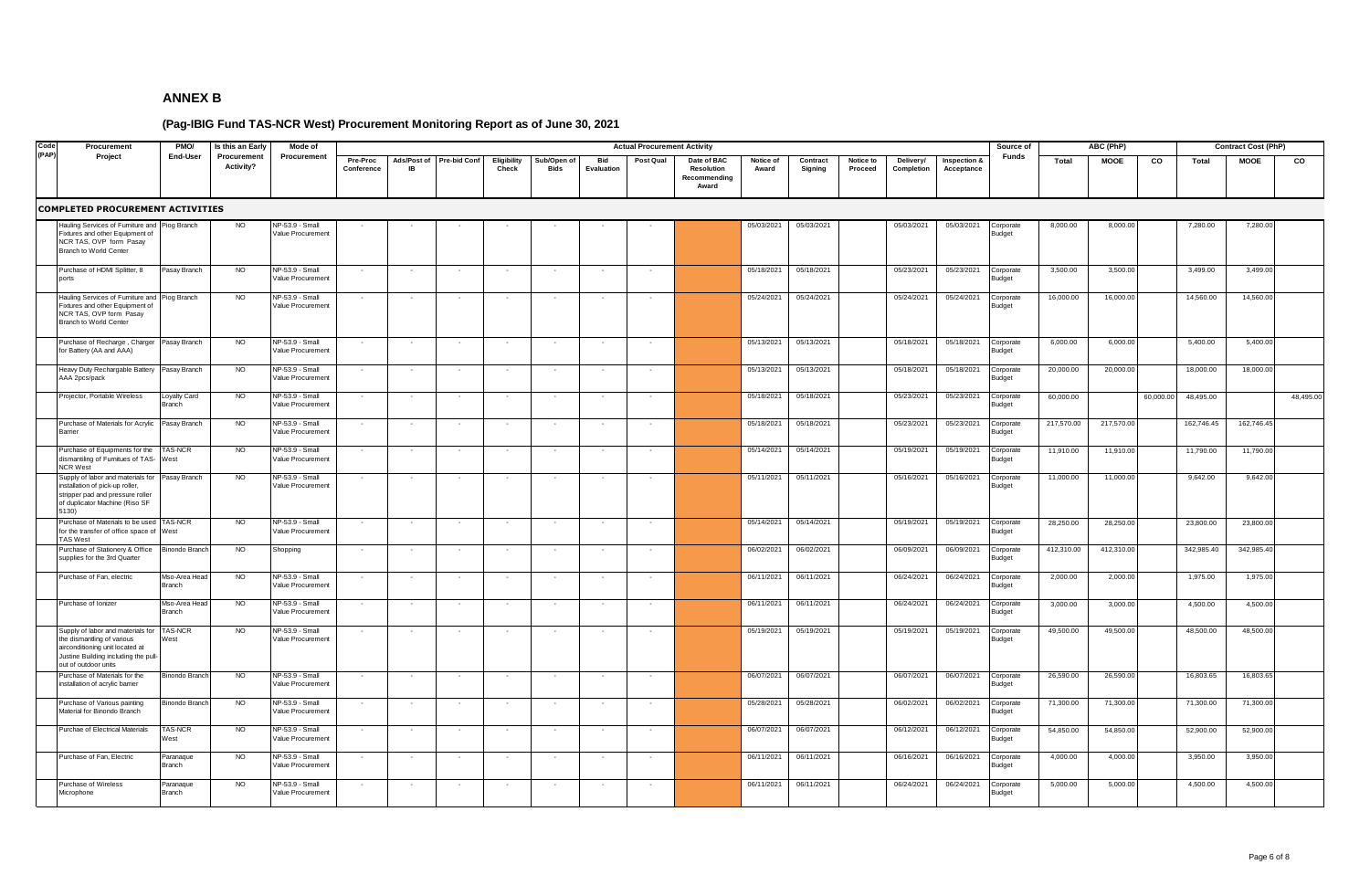| Code  | Procurement                                                                                                                                                        | PMO/                      | Is this an Early         | Mode of                              |                        |                          |                     |                      |                            |                          | <b>Actual Procurement Activity</b> |                                                           |                    |                     |                      |                         |                            | Source of                  |            | ABC (PhP)   |           |            | <b>Contract Cost (PhP)</b> |           |
|-------|--------------------------------------------------------------------------------------------------------------------------------------------------------------------|---------------------------|--------------------------|--------------------------------------|------------------------|--------------------------|---------------------|----------------------|----------------------------|--------------------------|------------------------------------|-----------------------------------------------------------|--------------------|---------------------|----------------------|-------------------------|----------------------------|----------------------------|------------|-------------|-----------|------------|----------------------------|-----------|
| (PAP) | Project                                                                                                                                                            | End-User                  | Procurement<br>Activity? | Procurement                          | Pre-Proc<br>Conference | Ads/Post of<br><b>IR</b> | <b>Pre-bid Conf</b> | Eligibility<br>Check | Sub/Open of<br><b>Bids</b> | Bid<br>Evaluation        | Post Qual                          | Date of BAC<br><b>Resolution</b><br>Recommending<br>Award | Notice of<br>Award | Contract<br>Signing | Notice to<br>Proceed | Delivery/<br>Completion | Inspection &<br>Acceptance | Funds                      | Total      | <b>MOOE</b> | CO        | Total      | <b>MOOE</b>                | co        |
|       | <b>COMPLETED PROCUREMENT ACTIVITIES</b>                                                                                                                            |                           |                          |                                      |                        |                          |                     |                      |                            |                          |                                    |                                                           |                    |                     |                      |                         |                            |                            |            |             |           |            |                            |           |
|       | lauling Services of Furniture and<br>ixtures and other Equipment of<br>NCR TAS, OVP form Pasay<br>Branch to World Center                                           | Piog Branch               | NO.                      | NP-53.9 - Small<br>Value Procurement |                        |                          |                     |                      |                            |                          |                                    |                                                           | 05/03/2021         | 05/03/2021          |                      | 05/03/2021              | 05/03/2021                 | Corporate<br>Budget        | 8,000.00   | 8,000.00    |           | 7,280.00   | 7,280.00                   |           |
|       | Purchase of HDMI Splitter, 8<br>ports                                                                                                                              | Pasay Branch              | <b>NO</b>                | NP-53.9 - Small<br>Value Procurement |                        |                          |                     |                      |                            |                          |                                    |                                                           | 05/18/2021         | 05/18/2021          |                      | 05/23/2021              | 05/23/2021                 | Corporate<br>Budget        | 3,500.00   | 3,500.00    |           | 3,499.00   | 3,499.00                   |           |
|       | Hauling Services of Furniture and<br>ixtures and other Equipment of<br>NCR TAS, OVP form Pasay<br>Branch to World Center                                           | Piog Branch               | <b>NO</b>                | NP-53.9 - Small<br>Value Procurement |                        |                          |                     |                      |                            |                          |                                    |                                                           | 05/24/2021         | 05/24/2021          |                      | 05/24/2021              | 05/24/2021                 | Corporate<br><b>Sudget</b> | 16,000.00  | 16,000.00   |           | 14,560.00  | 14,560.00                  |           |
|       | Purchase of Recharge, Charger<br>or Battery (AA and AAA)                                                                                                           | Pasay Branch              | <b>NO</b>                | NP-53.9 - Small<br>/alue Procurement |                        |                          |                     |                      |                            |                          |                                    |                                                           | 05/13/2021         | 05/13/2021          |                      | 05/18/2021              | 05/18/2021                 | Corporate<br>udget         | 6,000.00   | 6,000.00    |           | 5,400.00   | 5,400.00                   |           |
|       | leavy Duty Rechargable Battery<br><b>AAA 2pcs/pack</b>                                                                                                             | Pasay Branch              | N <sub>O</sub>           | NP-53.9 - Small<br>/alue Procurement |                        |                          |                     |                      |                            |                          |                                    |                                                           | 05/13/2021         | 05/13/2021          |                      | 05/18/2021              | 05/18/2021                 | orporate<br><b>Budget</b>  | 20,000.00  | 20,000.00   |           | 18,000.00  | 18,000.00                  |           |
|       | rojector, Portable Wireless                                                                                                                                        | Loyalty Card<br>Branch    | <b>NO</b>                | NP-53.9 - Small<br>/alue Procurement | $\sim$                 |                          |                     |                      |                            |                          |                                    |                                                           | 05/18/2021         | 05/18/2021          |                      | 05/23/2021              | 05/23/2021                 | Corporate<br>Budget        | 60,000.00  |             | 60,000.00 | 48,495.00  |                            | 48,495.00 |
|       | Purchase of Materials for Acrylic<br>Barrier                                                                                                                       | Pasay Branch              | <b>NO</b>                | NP-53.9 - Small<br>/alue Procurement | $\sim$                 |                          |                     | $\sim$               | $\sim$                     | $\sim$                   | $\sim$                             |                                                           | 05/18/2021         | 05/18/2021          |                      | 05/23/2021              | 05/23/2021                 | Corporate<br>Budget        | 217,570.00 | 217,570.00  |           | 162,746.45 | 162,746.45                 |           |
|       | Purchase of Equipments for the<br>dismantiling of Furnitues of TAS- West<br><b>NCR West</b>                                                                        | AS-NCR                    | <b>NO</b>                | NP-53.9 - Small<br>Value Procurement | $\sim$                 |                          |                     | $\sim$               | $\sim$                     | $\sim$                   | $\sim$                             |                                                           | 05/14/2021         | 05/14/2021          |                      | 05/19/2021              | 05/19/2021                 | Corporate<br>Budget        | 11,910.00  | 11,910.00   |           | 11,790.00  | 11,790.00                  |           |
|       | Supply of labor and materials for<br>nstallation of pick-up roller,<br>stripper pad and pressure roller<br>f duplicator Machine (Riso SF<br>5130)                  | Pasay Branch              | <b>NO</b>                | NP-53.9 - Small<br>Value Procurement |                        |                          |                     |                      |                            |                          |                                    |                                                           | 05/11/2021         | 05/11/2021          |                      | 05/16/2021              | 05/16/2021                 | Corporate<br>Budget        | 11,000.00  | 11,000.00   |           | 9,642.00   | 9,642.00                   |           |
|       | Purchase of Materials to be used<br>or the transfer of office space of<br><b>TAS West</b>                                                                          | TAS-NCR<br>West           | <b>NO</b>                | NP-53.9 - Small<br>Value Procurement | $\sim$                 |                          |                     |                      | $\sim$                     | $\sim$                   |                                    |                                                           | 05/14/2021         | 05/14/2021          |                      | 05/19/2021              | 05/19/2021                 | Corporate<br>Budget        | 28,250.00  | 28,250.00   |           | 23,800.00  | 23,800.00                  |           |
|       | Purchase of Stationery & Office<br>supplies for the 3rd Quarter                                                                                                    | <b>Binondo Branch</b>     | <b>NO</b>                | Shopping                             |                        |                          |                     |                      | $\sim$                     |                          |                                    |                                                           | 06/02/2021         | 06/02/2021          |                      | 06/09/2021              | 06/09/2021                 | Corporate<br><b>Budget</b> | 412,310.00 | 412,310.00  |           | 342,985.40 | 342,985.40                 |           |
|       | Purchase of Fan, electric                                                                                                                                          | Mso-Area Head<br>Branch   | <b>NO</b>                | NP-53.9 - Small<br>Value Procurement |                        |                          |                     |                      |                            |                          |                                    |                                                           | 06/11/2021         | 06/11/2021          |                      | 06/24/2021              | 06/24/2021                 | Corporate<br>Budget        | 2,000.00   | 2,000.00    |           | 1,975.00   | 1,975.00                   |           |
|       | urchase of Ionizer                                                                                                                                                 | Mso-Area Hea<br>Branch    | NO                       | NP-53.9 - Small<br>Value Procurement |                        |                          |                     |                      | $\overline{\phantom{a}}$   |                          |                                    |                                                           | 06/11/2021         | 06/11/2021          |                      | 06/24/2021              | 06/24/2021                 | Corporate<br>Budget        | 3,000.00   | 3,000.00    |           | 4,500.00   | 4,500.00                   |           |
|       | Supply of labor and materials for<br>the dismantling of various<br>airconditioning unit located at<br>lustine Building including the pull-<br>out of outdoor units | <b>TAS-NCR</b><br>West    | NO                       | NP-53.9 - Small<br>Value Procurement |                        |                          |                     |                      | $\sim$                     | $\overline{\phantom{a}}$ | $\sim$                             |                                                           | 05/19/2021         | 05/19/2021          |                      | 05/19/2021              | 05/19/2021                 | Corporate<br>Budget        | 49,500.00  | 49,500.00   |           | 48,500.00  | 48,500.00                  |           |
|       | Purchase of Materials for the<br>nstallation of acrylic barrier                                                                                                    | <b>Binondo Branc</b>      | <b>NO</b>                | NP-53.9 - Small<br>Value Procurement |                        |                          |                     |                      | $\sim$                     |                          |                                    |                                                           | 06/07/2021         | 06/07/2021          |                      | 06/07/2021              | 06/07/2021                 | Corporate<br>udget         | 26,590.00  | 26,590.00   |           | 16,803.65  | 16,803.65                  |           |
|       | Purchase of Various painting<br>Material for Binondo Branch                                                                                                        | <b>Binondo Branch</b>     | <b>NO</b>                | NP-53.9 - Small<br>Value Procurement |                        |                          |                     |                      |                            |                          |                                    |                                                           | 05/28/2021         | 05/28/2021          |                      | 06/02/2021              | 06/02/2021                 | <b>Corporate</b><br>Budget | 71,300.00  | 71,300.00   |           | 71,300.00  | 71,300.00                  |           |
|       | Purchae of Electrical Materials                                                                                                                                    | <b>TAS-NCR</b><br>Vest    | <b>NO</b>                | NP-53.9 - Small<br>Value Procurement |                        |                          |                     |                      |                            |                          |                                    |                                                           | 06/07/2021         | 06/07/2021          |                      | 06/12/2021              | 06/12/2021                 | orporate<br>ludget         | 54,850.00  | 54,850.00   |           | 52,900.00  | 52,900.00                  |           |
|       | Purchase of Fan, Electric                                                                                                                                          | aranaque<br><b>Branch</b> | <b>NO</b>                | NP-53.9 - Small<br>Value Procurement |                        |                          |                     |                      | $\sim$                     |                          |                                    |                                                           | 06/11/2021         | 06/11/2021          |                      | 06/16/2021              | 06/16/2021                 | <b>Corporate</b><br>udget  | 4,000.00   | 4,000.00    |           | 3,950.00   | 3,950.00                   |           |
|       | Purchase of Wireless<br><b>Microphone</b>                                                                                                                          | aranaque<br><b>Branch</b> | <b>NO</b>                | NP-53.9 - Small<br>Value Procurement | $\sim$                 |                          |                     |                      | $\overline{\phantom{a}}$   |                          |                                    |                                                           | 06/11/2021         | 06/11/2021          |                      | 06/24/2021              | 06/24/2021                 | orporate<br>udget          | 5,000.00   | 5,000.00    |           | 4,500.00   | 4,500.00                   |           |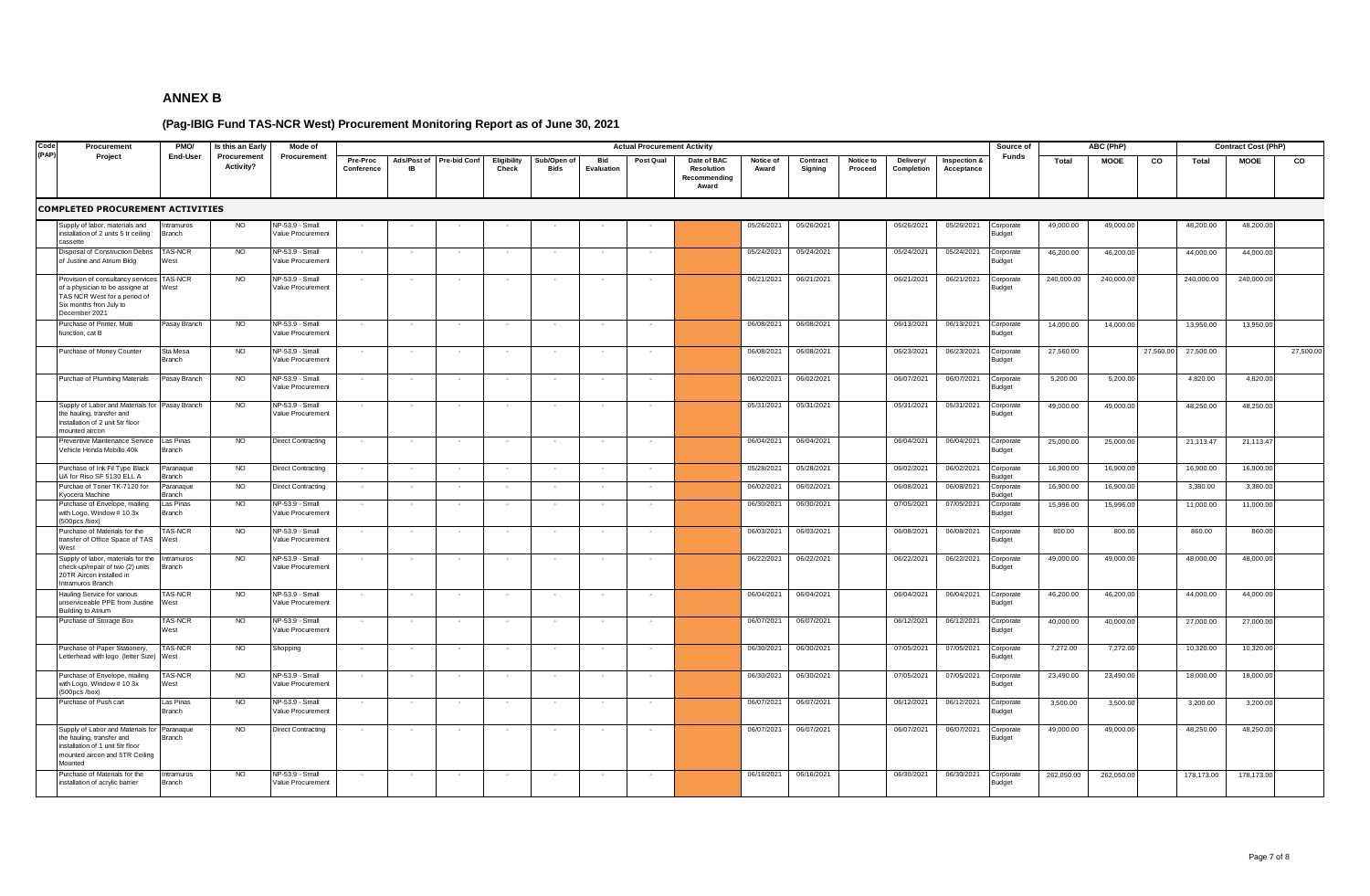| Code  | Procurement                                                                                                                                               | PMO/                       | Is this an Early                | Mode of                              |                        |                          |                     |                          |                            |                          | <b>Actual Procurement Activity</b> |                                                    |                    |                     |                      |                         |                            | Source of                  |            | ABC (PhP)   |           |            | <b>Contract Cost (PhP)</b> |           |
|-------|-----------------------------------------------------------------------------------------------------------------------------------------------------------|----------------------------|---------------------------------|--------------------------------------|------------------------|--------------------------|---------------------|--------------------------|----------------------------|--------------------------|------------------------------------|----------------------------------------------------|--------------------|---------------------|----------------------|-------------------------|----------------------------|----------------------------|------------|-------------|-----------|------------|----------------------------|-----------|
| (PAP) | Project                                                                                                                                                   | End-User                   | Procurement<br><b>Activity?</b> | Procurement                          | Pre-Proc<br>Conference | Ads/Post of<br><b>IR</b> | <b>Pre-bid Conf</b> | Eligibility<br>Check     | Sub/Open of<br><b>Bids</b> | Bid<br><b>Evaluation</b> | Post Qual                          | Date of BAC<br>Resolution<br>Recommending<br>Award | Notice of<br>Award | Contract<br>Signing | Notice to<br>Proceed | Delivery/<br>Completion | Inspection &<br>Acceptance | Funds                      | Total      | <b>MOOE</b> | CO        | Total      | <b>MOOE</b>                | co        |
|       | <b>COMPLETED PROCUREMENT ACTIVITIES</b>                                                                                                                   |                            |                                 |                                      |                        |                          |                     |                          |                            |                          |                                    |                                                    |                    |                     |                      |                         |                            |                            |            |             |           |            |                            |           |
|       | Supply of labor, materials and<br>nstallation of 2 units 5 tr ceiling<br>assette:                                                                         | Intramuros<br>Branch       | <b>NO</b>                       | NP-53.9 - Small<br>/alue Procurement |                        |                          |                     |                          |                            |                          |                                    |                                                    | 05/26/2021         | 05/26/2021          |                      | 05/26/2021              | 05/26/2021                 | orporate:<br><b>Budget</b> | 49,000.00  | 49,000.00   |           | 48,200.00  | 48,200.00                  |           |
|       | Disposal of Construction Debris<br>of Justine and Atrium Bldg                                                                                             | <b>TAS-NCR</b><br>West     | <b>NO</b>                       | NP-53.9 - Small<br>Value Procurement |                        |                          |                     |                          |                            |                          |                                    |                                                    | 05/24/2021         | 05/24/2021          |                      | 05/24/2021              | 05/24/2021                 | Corporate<br>Budget        | 46,200.00  | 46,200.00   |           | 44,000.00  | 44,000.00                  |           |
|       | rovision of consultancy services<br>of a physician to be assigne at<br>TAS NCR West for a period of<br>Six months fron July to<br>December 2021           | AS-NCR<br>West             | <b>NO</b>                       | NP-53.9 - Small<br>Value Procurement |                        |                          |                     |                          |                            |                          |                                    |                                                    | 06/21/2021         | 06/21/2021          |                      | 06/21/2021              | 06/21/2021                 | Corporate<br>Budget        | 240,000.00 | 240,000.00  |           | 240,000.00 | 240,000.00                 |           |
|       | Purchase of Printer, Multi<br>fiunction, cat B                                                                                                            | Pasay Branch               | NO                              | NP-53.9 - Small<br>Value Procurement |                        |                          |                     |                          | $\sim$                     |                          |                                    |                                                    | 06/08/2021         | 06/08/2021          |                      | 06/13/2021              | 06/13/2021                 | Corporate<br>Budget        | 14,000.00  | 14,000.00   |           | 13,950.00  | 13,950.00                  |           |
|       | Purchase of Money Counter                                                                                                                                 | Sta Mesa<br>Branch         | <b>NO</b>                       | NP-53.9 - Small<br>Value Procurement | $\sim$                 | $\sim$                   | $\sim$              | $\sim$                   | $\sim$                     | $\sim$                   | $\sim$                             |                                                    | 06/08/2021         | 06/08/2021          |                      | 06/23/2021              | 06/23/2021                 | Corporate<br>3udget        | 27,560.00  |             | 27,560.00 | 27,500.00  |                            | 27,500.00 |
|       | Purchae of Plumbing Materials                                                                                                                             | Pasay Branch               | <b>NO</b>                       | NP-53.9 - Small<br>Value Procurement |                        |                          |                     |                          | $\sim$                     |                          | $\sim$                             |                                                    | 06/02/2021         | 06/02/2021          |                      | 06/07/2021              | 06/07/2021                 | Corporate<br><b>Budget</b> | 5,200.00   | 5,200.00    |           | 4,820.00   | 4,820.00                   |           |
|       | Supply of Labor and Materials for<br>he hauling, transfer and<br>installation of 2 unit 5tr floor<br>nounted aircon                                       | Pasay Branch               | NO                              | NP-53.9 - Small<br>Value Procurement | $\sim$                 |                          |                     | $\overline{\phantom{a}}$ | $\sim$                     |                          | $\sim$                             |                                                    | 05/31/2021         | 05/31/2021          |                      | 05/31/2021              | 05/31/2021                 | Corporate<br>Budget        | 49,000.00  | 49,000.00   |           | 48,250.00  | 48,250.00                  |           |
|       | reventive Maintenance Service<br>Vehicle Honda Mobillo 40k                                                                                                | Las Pinas<br><b>Branch</b> | <b>NO</b>                       | <b>Direct Contracting</b>            | $\sim$                 |                          |                     | $\sim$                   | $\sim$                     | $\bar{\phantom{a}}$      | $\sim$                             |                                                    | 06/04/2021         | 06/04/2021          |                      | 06/04/2021              | 06/04/2021                 | Corporate<br>Budget        | 25,000.00  | 25,000.00   |           | 21,113.47  | 21,113.47                  |           |
|       | Purchase of Ink Fil Type Black<br>UA for Riso SF 5130 ELL A                                                                                               | Paranaque<br>Branch        | <b>NO</b>                       | <b>Direct Contracting</b>            | $\sim$                 | $\sim$                   | $\sim$              | $\sim$                   | $\sim$                     | $\sim$                   | $\sim$                             |                                                    | 05/28/2021         | 05/28/2021          |                      | 06/02/2021              | 06/02/2021                 | Corporate<br><b>Budget</b> | 16,900.00  | 16,900.00   |           | 16,900.00  | 16,900.00                  |           |
|       | urchae of Toner TK-7120 for<br>vocera Machine                                                                                                             | Paranaque<br>Branch        | <b>NO</b>                       | <b>Direct Contracting</b>            |                        |                          |                     |                          |                            |                          |                                    |                                                    | 06/02/2021         | 06/02/2021          |                      | 06/08/2021              | 06/08/2021                 | orporate<br>udget          | 16,900.00  | 16,900.00   |           | 3,380.00   | 3,380.00                   |           |
|       | urchase of Envelope, mailing<br>with Logo, Window # 10 3x<br>500pcs /box)                                                                                 | Las Pinas<br><b>Branch</b> | <b>NO</b>                       | NP-53.9 - Small<br>Value Procurement |                        |                          |                     |                          | $\overline{\phantom{a}}$   |                          | $\overline{\phantom{a}}$           |                                                    | 06/30/2021         | 06/30/2021          |                      | 07/05/2021              | 07/05/2021                 | orporate<br>Budget         | 15,996.00  | 15,996.00   |           | 11,000.00  | 11,000.00                  |           |
|       | Purchase of Materials for the<br>ransfer of Office Space of TAS<br>Nest                                                                                   | TAS-NCR<br>West            | <b>NO</b>                       | NP-53.9 - Small<br>Value Procurement |                        |                          |                     |                          |                            |                          |                                    |                                                    | 06/03/2021         | 06/03/2021          |                      | 06/08/2021              | 06/08/2021                 | Corporate<br>Budget        | 800.00     | 800.00      |           | 860.00     | 860.00                     |           |
|       | Supply of labor, materials for the<br>check-up/repair of two (2) units<br>20TR Aircon installed in<br>ntramuros Branch                                    | Intramuros<br>Branch       | <b>NO</b>                       | NP-53.9 - Small<br>Value Procurement |                        |                          |                     |                          |                            |                          |                                    |                                                    | 06/22/2021         | 06/22/2021          |                      | 06/22/2021              | 06/22/2021                 | Corporate<br>Budget        | 49,000.00  | 49,000.00   |           | 48,000.00  | 48,000.00                  |           |
|       | lauling Service for various<br>inserviceable PPE from Justine<br><b>Building to Atrium</b>                                                                | <b>TAS-NCR</b><br>West     | <b>NO</b>                       | NP-53.9 - Small<br>Value Procurement |                        |                          |                     |                          | $\overline{\phantom{a}}$   |                          |                                    |                                                    | 06/04/2021         | 06/04/2021          |                      | 06/04/2021              | 06/04/2021                 | Corporate<br>Budget        | 46,200.00  | 46,200.00   |           | 44,000.00  | 44,000.00                  |           |
|       | Purchase of Storage Box                                                                                                                                   | <b>TAS-NCR</b><br>West     | <b>NO</b>                       | NP-53.9 - Small<br>Value Procurement |                        |                          |                     |                          |                            |                          |                                    |                                                    | 06/07/2021         | 06/07/2021          |                      | 06/12/2021              | 06/12/2021                 | Corporate<br>Budget        | 40,000.00  | 40,000.00   |           | 27,000.00  | 27,000.00                  |           |
|       | Purchase of Paper Stationery,<br>etterhead with logo (letter Size)                                                                                        | <b>TAS-NCR</b><br>West     | <b>NO</b>                       | Shopping                             |                        |                          |                     |                          |                            |                          |                                    |                                                    | 06/30/2021         | 06/30/2021          |                      | 07/05/2021              | 07/05/2021                 | Corporate<br>Budget        | 7,272.00   | 7,272.00    |           | 10,320.00  | 10,320.00                  |           |
|       | urchase of Envelope, mailing<br>with Logo, Window # 10 3x<br>500pcs /box)                                                                                 | <b>TAS-NCR</b><br>West     | <b>NO</b>                       | NP-53.9 - Small<br>Value Procurement |                        |                          |                     |                          |                            |                          |                                    |                                                    | 06/30/2021         | 06/30/2021          |                      | 07/05/2021              | 07/05/2021                 | Corporate<br>Budget        | 23,490.00  | 23,490.00   |           | 18,000.00  | 18,000.00                  |           |
|       | Purchase of Push cart                                                                                                                                     | Las Pinas<br>Branch        | NO                              | NP-53.9 - Small<br>Value Procurement |                        |                          |                     |                          |                            |                          |                                    |                                                    | 06/07/2021         | 06/07/2021          |                      | 06/12/2021              | 06/12/2021                 | Corporate<br><b>Budget</b> | 3,500.00   | 3,500.00    |           | 3,200.00   | 3,200.00                   |           |
|       | Supply of Labor and Materials for Paranaque<br>the hauling, transfer and<br>installation of 1 unit 5tr floor<br>mounted aircon and 5TR Ceiling<br>Mounted | Branch                     | <b>NO</b>                       | <b>Direct Contracting</b>            |                        |                          |                     |                          |                            |                          |                                    |                                                    | 06/07/2021         | 06/07/2021          |                      | 06/07/2021              | 06/07/2021                 | Corporate<br>Budget        | 49,000.00  | 49,000.00   |           | 48,250.00  | 48,250.00                  |           |
|       | urchase of Materials for the<br>installation of acrylic barrier                                                                                           | ntramuros<br>Branch        | <b>NO</b>                       | NP-53.9 - Small<br>Value Procurement |                        |                          |                     |                          |                            |                          |                                    |                                                    | 06/16/2021         | 06/16/2021          |                      | 06/30/2021              | 06/30/2021                 | orporate<br>Budget         | 262,050.00 | 262,050.00  |           | 178,173.00 | 178,173.00                 |           |